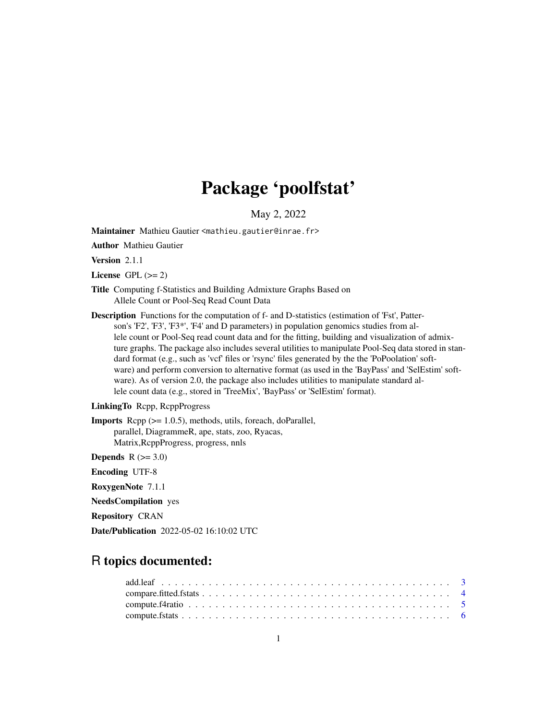# Package 'poolfstat'

May 2, 2022

Maintainer Mathieu Gautier <mathieu.gautier@inrae.fr>

Author Mathieu Gautier

Version 2.1.1

License GPL  $(>= 2)$ 

- Title Computing f-Statistics and Building Admixture Graphs Based on Allele Count or Pool-Seq Read Count Data
- Description Functions for the computation of f- and D-statistics (estimation of 'Fst', Patterson's 'F2', 'F3', 'F3\*', 'F4' and D parameters) in population genomics studies from allele count or Pool-Seq read count data and for the fitting, building and visualization of admixture graphs. The package also includes several utilities to manipulate Pool-Seq data stored in standard format (e.g., such as 'vcf' files or 'rsync' files generated by the the 'PoPoolation' software) and perform conversion to alternative format (as used in the 'BayPass' and 'SelEstim' software). As of version 2.0, the package also includes utilities to manipulate standard allele count data (e.g., stored in 'TreeMix', 'BayPass' or 'SelEstim' format).

# LinkingTo Rcpp, RcppProgress

Imports Rcpp (>= 1.0.5), methods, utils, foreach, doParallel, parallel, DiagrammeR, ape, stats, zoo, Ryacas, Matrix,RcppProgress, progress, nnls

Depends  $R$  ( $>= 3.0$ )

Encoding UTF-8

RoxygenNote 7.1.1

NeedsCompilation yes

Repository CRAN

Date/Publication 2022-05-02 16:10:02 UTC

# R topics documented: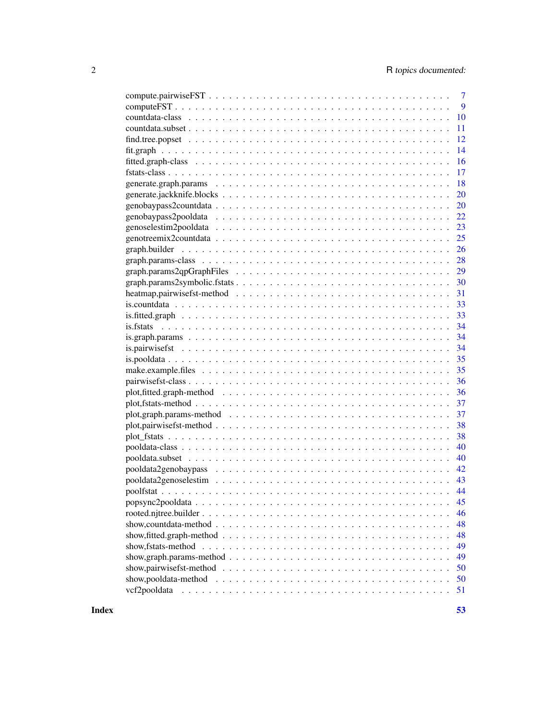|                                                                                                                              | $\overline{7}$ |
|------------------------------------------------------------------------------------------------------------------------------|----------------|
|                                                                                                                              | 9              |
|                                                                                                                              | 10             |
| 11                                                                                                                           |                |
| 12                                                                                                                           |                |
| 14                                                                                                                           |                |
| <b>16</b>                                                                                                                    |                |
|                                                                                                                              |                |
| 18                                                                                                                           |                |
| 20                                                                                                                           |                |
| 20                                                                                                                           |                |
| 22                                                                                                                           |                |
| 23                                                                                                                           |                |
| 25                                                                                                                           |                |
| 26                                                                                                                           |                |
| 28                                                                                                                           |                |
| 29                                                                                                                           |                |
|                                                                                                                              |                |
|                                                                                                                              |                |
|                                                                                                                              |                |
|                                                                                                                              |                |
|                                                                                                                              |                |
|                                                                                                                              |                |
|                                                                                                                              |                |
|                                                                                                                              |                |
|                                                                                                                              |                |
|                                                                                                                              |                |
|                                                                                                                              |                |
| 37                                                                                                                           |                |
| 37                                                                                                                           |                |
| 38                                                                                                                           |                |
| 38                                                                                                                           |                |
| 40                                                                                                                           |                |
| 40                                                                                                                           |                |
| 42                                                                                                                           |                |
|                                                                                                                              |                |
| 44                                                                                                                           |                |
|                                                                                                                              | 45             |
|                                                                                                                              | 46             |
| 48                                                                                                                           |                |
| 48                                                                                                                           |                |
| show, fitted.graph-method $\ldots \ldots \ldots \ldots \ldots \ldots \ldots \ldots \ldots \ldots \ldots \ldots \ldots$<br>49 |                |
|                                                                                                                              |                |
| show, graph.params-method $\ldots \ldots \ldots \ldots \ldots \ldots \ldots \ldots \ldots \ldots \ldots \ldots$<br>49        |                |
| show, pairwise fst-method $\ldots \ldots \ldots \ldots \ldots \ldots \ldots \ldots \ldots \ldots \ldots \ldots$              | 50             |
| show, pooldata-method $\ldots \ldots \ldots \ldots \ldots \ldots \ldots \ldots \ldots \ldots \ldots \ldots \ldots$           | 50             |
| vcf2pooldata<br>51                                                                                                           |                |

**Index** [53](#page-52-0)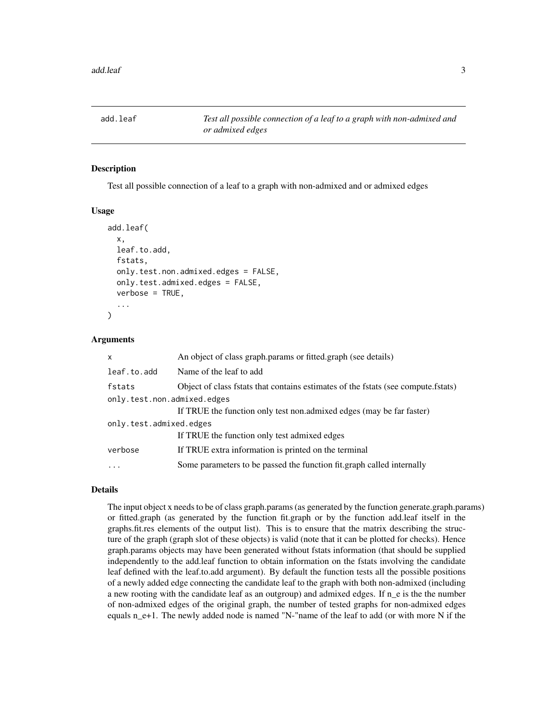<span id="page-2-1"></span><span id="page-2-0"></span>

Test all possible connection of a leaf to a graph with non-admixed and or admixed edges

#### Usage

```
add.leaf(
  x,
  leaf.to.add,
  fstats,
  only.test.non.admixed.edges = FALSE,
  only.test.admixed.edges = FALSE,
  verbose = TRUE,
  ...
)
```
### Arguments

| $\mathsf{x}$                | An object of class graph params or fitted graph (see details)                        |
|-----------------------------|--------------------------------------------------------------------------------------|
| leaf.to.add                 | Name of the leaf to add                                                              |
| fstats                      | Object of class fistats that contains estimates of the fistats (see compute fistats) |
| only.test.non.admixed.edges |                                                                                      |
|                             | If TRUE the function only test non.admixed edges (may be far faster)                 |
| only.test.admixed.edges     |                                                                                      |
|                             | If TRUE the function only test admixed edges                                         |
| verbose                     | If TRUE extra information is printed on the terminal                                 |
| $\ddotsc$                   | Some parameters to be passed the function fit.graph called internally                |

#### Details

The input object x needs to be of class graph.params (as generated by the function generate.graph.params) or fitted.graph (as generated by the function fit.graph or by the function add.leaf itself in the graphs.fit.res elements of the output list). This is to ensure that the matrix describing the structure of the graph (graph slot of these objects) is valid (note that it can be plotted for checks). Hence graph.params objects may have been generated without fstats information (that should be supplied independently to the add.leaf function to obtain information on the fstats involving the candidate leaf defined with the leaf.to.add argument). By default the function tests all the possible positions of a newly added edge connecting the candidate leaf to the graph with both non-admixed (including a new rooting with the candidate leaf as an outgroup) and admixed edges. If n\_e is the the number of non-admixed edges of the original graph, the number of tested graphs for non-admixed edges equals n\_e+1. The newly added node is named "N-"name of the leaf to add (or with more N if the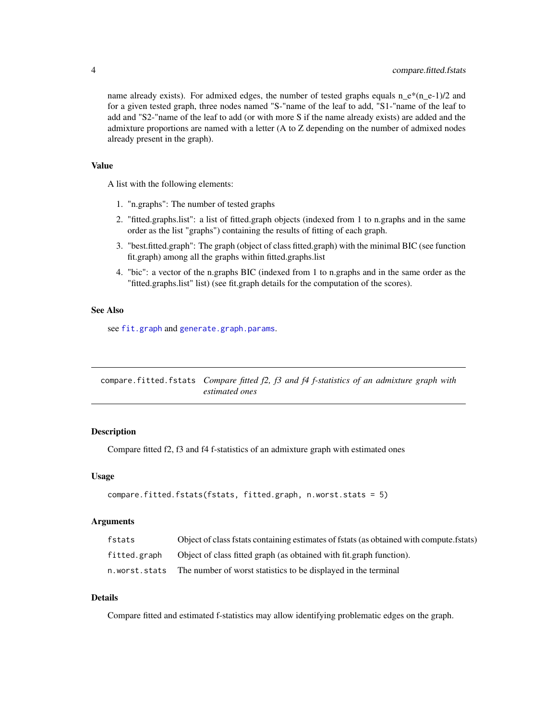<span id="page-3-0"></span>name already exists). For admixed edges, the number of tested graphs equals  $n_e*(n_e-1)/2$  and for a given tested graph, three nodes named "S-"name of the leaf to add, "S1-"name of the leaf to add and "S2-"name of the leaf to add (or with more S if the name already exists) are added and the admixture proportions are named with a letter (A to Z depending on the number of admixed nodes already present in the graph).

# Value

A list with the following elements:

- 1. "n.graphs": The number of tested graphs
- 2. "fitted.graphs.list": a list of fitted.graph objects (indexed from 1 to n.graphs and in the same order as the list "graphs") containing the results of fitting of each graph.
- 3. "best.fitted.graph": The graph (object of class fitted.graph) with the minimal BIC (see function fit.graph) among all the graphs within fitted.graphs.list
- 4. "bic": a vector of the n.graphs BIC (indexed from 1 to n.graphs and in the same order as the "fitted.graphs.list" list) (see fit.graph details for the computation of the scores).

# See Also

see [fit.graph](#page-13-1) and [generate.graph.params](#page-17-1).

<span id="page-3-1"></span>compare.fitted.fstats *Compare fitted f2, f3 and f4 f-statistics of an admixture graph with estimated ones*

#### **Description**

Compare fitted f2, f3 and f4 f-statistics of an admixture graph with estimated ones

#### Usage

```
compare.fitted.fstats(fstats, fitted.graph, n.worst.stats = 5)
```
#### Arguments

| fstats       | Object of class fstats containing estimates of fstats (as obtained with compute fstats) |
|--------------|-----------------------------------------------------------------------------------------|
| fitted.graph | Object of class fitted graph (as obtained with fit.graph function).                     |
|              | n.worst.stats The number of worst statistics to be displayed in the terminal            |

# Details

Compare fitted and estimated f-statistics may allow identifying problematic edges on the graph.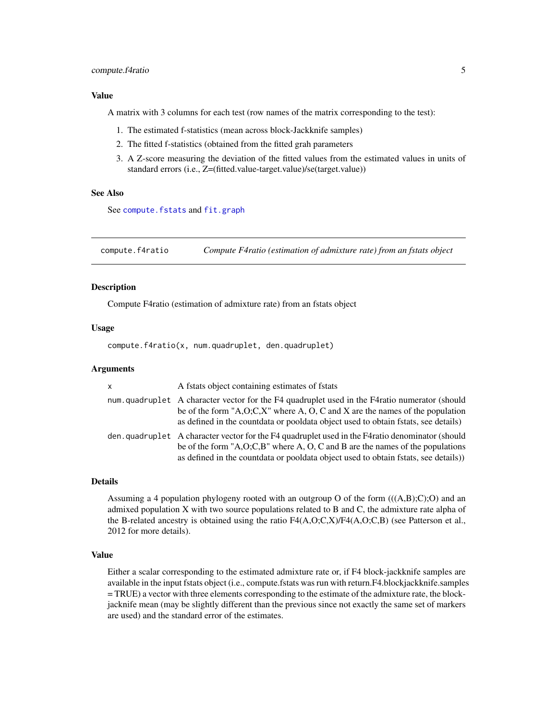# <span id="page-4-0"></span>compute.f4ratio 5

#### Value

A matrix with 3 columns for each test (row names of the matrix corresponding to the test):

- 1. The estimated f-statistics (mean across block-Jackknife samples)
- 2. The fitted f-statistics (obtained from the fitted grah parameters
- 3. A Z-score measuring the deviation of the fitted values from the estimated values in units of standard errors (i.e., Z=(fitted.value-target.value)/se(target.value))

### See Also

See [compute.fstats](#page-5-1) and [fit.graph](#page-13-1)

compute.f4ratio *Compute F4ratio (estimation of admixture rate) from an fstats object*

#### **Description**

Compute F4ratio (estimation of admixture rate) from an fstats object

#### Usage

compute.f4ratio(x, num.quadruplet, den.quadruplet)

#### Arguments

| $\mathsf{x}$ | A fstats object containing estimates of fstats                                                                                                                                                                                                                           |
|--------------|--------------------------------------------------------------------------------------------------------------------------------------------------------------------------------------------------------------------------------------------------------------------------|
|              | num quadruplet A character vector for the F4 quadruplet used in the F4 ratio numerator (should<br>be of the form "A,O;C,X" where A, O, C and X are the names of the population<br>as defined in the countdata or pooldata object used to obtain fistats, see details)    |
|              | den, quadruplet A character vector for the F4 quadruplet used in the F4 ratio denominator (should<br>be of the form "A,O,C,B" where A, O, C and B are the names of the populations<br>as defined in the countdata or pooldata object used to obtain fstats, see details) |

#### Details

Assuming a 4 population phylogeny rooted with an outgroup O of the form  $(((A,B);C);O)$  and an admixed population X with two source populations related to B and C, the admixture rate alpha of the B-related ancestry is obtained using the ratio  $F4(A, O; C, X)/F4(A, O; C, B)$  (see Patterson et al., 2012 for more details).

# Value

Either a scalar corresponding to the estimated admixture rate or, if F4 block-jackknife samples are available in the input fstats object (i.e., compute.fstats was run with return.F4.blockjackknife.samples = TRUE) a vector with three elements corresponding to the estimate of the admixture rate, the blockjacknife mean (may be slightly different than the previous since not exactly the same set of markers are used) and the standard error of the estimates.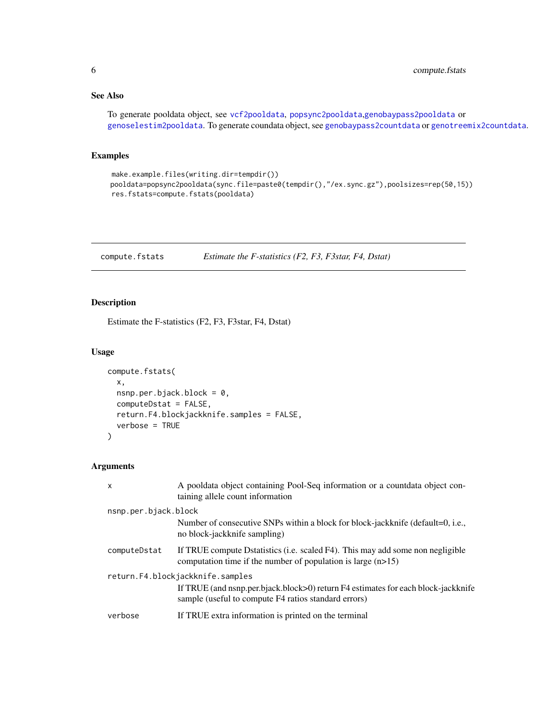# <span id="page-5-0"></span>See Also

To generate pooldata object, see [vcf2pooldata](#page-50-1), [popsync2pooldata](#page-44-1),[genobaypass2pooldata](#page-21-1) or [genoselestim2pooldata](#page-22-1). To generate coundata object, see [genobaypass2countdata](#page-19-1) or [genotreemix2countdata](#page-24-1).

# Examples

```
make.example.files(writing.dir=tempdir())
pooldata=popsync2pooldata(sync.file=paste0(tempdir(),"/ex.sync.gz"),poolsizes=rep(50,15))
res.fstats=compute.fstats(pooldata)
```
<span id="page-5-1"></span>compute.fstats *Estimate the F-statistics (F2, F3, F3star, F4, Dstat)*

# Description

Estimate the F-statistics (F2, F3, F3star, F4, Dstat)

# Usage

```
compute.fstats(
  x,
  nsnp.per.bjack.block = 0,
  computeDstat = FALSE,
  return.F4.blockjackknife.samples = FALSE,
  verbose = TRUE
)
```
# Arguments

| $\mathsf{x}$         | A pooldata object containing Pool-Seq information or a countdata object con-<br>taining allele count information                                                              |
|----------------------|-------------------------------------------------------------------------------------------------------------------------------------------------------------------------------|
| nsnp.per.bjack.block |                                                                                                                                                                               |
|                      | Number of consecutive SNPs within a block for block-jackknife (default=0, i.e.,<br>no block-jackknife sampling)                                                               |
| computeDstat         | If TRUE compute D statistics (i.e. scaled F4). This may add some non negligible<br>computation time if the number of population is large $(n>15)$                             |
|                      | return.F4.blockjackknife.samples<br>If TRUE (and nsnp.per.bjack.block>0) return F4 estimates for each block-jackknife<br>sample (useful to compute F4 ratios standard errors) |
| verbose              | If TRUE extra information is printed on the terminal                                                                                                                          |
|                      |                                                                                                                                                                               |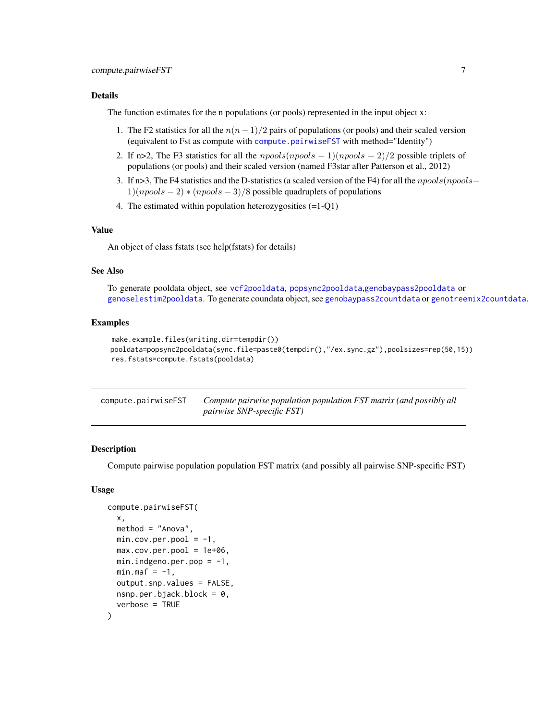### <span id="page-6-0"></span>Details

The function estimates for the n populations (or pools) represented in the input object x:

- 1. The F2 statistics for all the  $n(n 1)/2$  pairs of populations (or pools) and their scaled version (equivalent to Fst as compute with [compute.pairwiseFST](#page-6-1) with method="Identity")
- 2. If n>2, The F3 statistics for all the  $npools(npools 1)(npools 2)/2$  possible triplets of populations (or pools) and their scaled version (named F3star after Patterson et al., 2012)
- 3. If n>3, The F4 statistics and the D-statistics (a scaled version of the F4) for all the npools(npools−  $1)(npools - 2) * (npools - 3)/8$  possible quadruplets of populations
- 4. The estimated within population heterozygosities (=1-Q1)

#### Value

An object of class fstats (see help(fstats) for details)

#### See Also

To generate pooldata object, see [vcf2pooldata](#page-50-1), [popsync2pooldata](#page-44-1),[genobaypass2pooldata](#page-21-1) or [genoselestim2pooldata](#page-22-1). To generate coundata object, see [genobaypass2countdata](#page-19-1) or [genotreemix2countdata](#page-24-1).

# Examples

```
make.example.files(writing.dir=tempdir())
pooldata=popsync2pooldata(sync.file=paste0(tempdir(),"/ex.sync.gz"),poolsizes=rep(50,15))
res.fstats=compute.fstats(pooldata)
```
<span id="page-6-1"></span>

| compute.pairwiseFST | Compute pairwise population population FST matrix (and possibly all |
|---------------------|---------------------------------------------------------------------|
|                     | <i>pairwise SNP-specific FST</i> )                                  |

# Description

Compute pairwise population population FST matrix (and possibly all pairwise SNP-specific FST)

#### Usage

```
compute.pairwiseFST(
  x,
  method = "Anova",
  min.cov.per.pool = -1,
 max.cov.per.pool = 1e+06,
 min.indgeno.per.pop = -1,
 min.max = -1,
  output.snp.values = FALSE,
 nsnp.per.bjack.block = 0,
  verbose = TRUE
)
```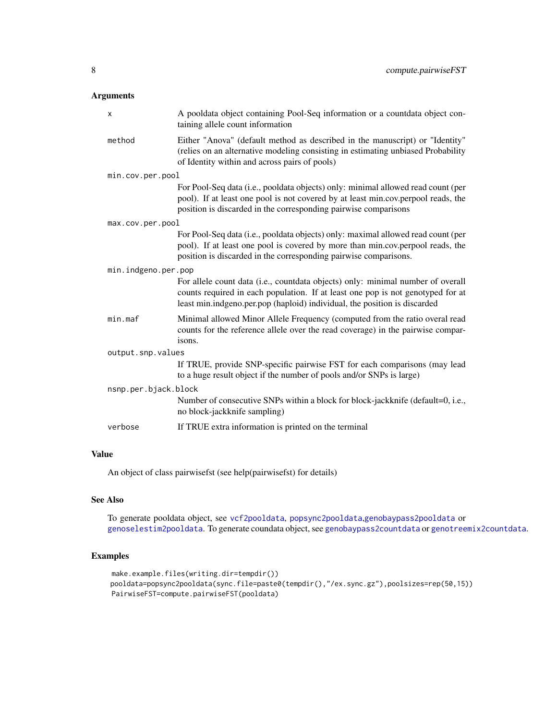# <span id="page-7-0"></span>Arguments

| A pooldata object containing Pool-Seq information or a countdata object con-<br>taining allele count information                                                                                                                                |
|-------------------------------------------------------------------------------------------------------------------------------------------------------------------------------------------------------------------------------------------------|
| Either "Anova" (default method as described in the manuscript) or "Identity"<br>(relies on an alternative modeling consisting in estimating unbiased Probability<br>of Identity within and across pairs of pools)                               |
| min.cov.per.pool                                                                                                                                                                                                                                |
| For Pool-Seq data (i.e., pooldata objects) only: minimal allowed read count (per<br>pool). If at least one pool is not covered by at least min.cov.perpool reads, the<br>position is discarded in the corresponding pairwise comparisons        |
| max.cov.per.pool                                                                                                                                                                                                                                |
| For Pool-Seq data (i.e., pooldata objects) only: maximal allowed read count (per<br>pool). If at least one pool is covered by more than min.cov.perpool reads, the<br>position is discarded in the corresponding pairwise comparisons.          |
| min.indgeno.per.pop                                                                                                                                                                                                                             |
| For allele count data (i.e., countdata objects) only: minimal number of overall<br>counts required in each population. If at least one pop is not genotyped for at<br>least min.indgeno.per.pop (haploid) individual, the position is discarded |
| Minimal allowed Minor Allele Frequency (computed from the ratio overal read<br>counts for the reference allele over the read coverage) in the pairwise compar-<br>isons.                                                                        |
| output.snp.values                                                                                                                                                                                                                               |
| If TRUE, provide SNP-specific pairwise FST for each comparisons (may lead<br>to a huge result object if the number of pools and/or SNPs is large)                                                                                               |
| nsnp.per.bjack.block                                                                                                                                                                                                                            |
| Number of consecutive SNPs within a block for block-jackknife (default=0, i.e.,<br>no block-jackknife sampling)                                                                                                                                 |
| If TRUE extra information is printed on the terminal                                                                                                                                                                                            |
|                                                                                                                                                                                                                                                 |

## Value

An object of class pairwisefst (see help(pairwisefst) for details)

# See Also

To generate pooldata object, see [vcf2pooldata](#page-50-1), [popsync2pooldata](#page-44-1),[genobaypass2pooldata](#page-21-1) or [genoselestim2pooldata](#page-22-1). To generate coundata object, see [genobaypass2countdata](#page-19-1) or [genotreemix2countdata](#page-24-1).

# Examples

```
make.example.files(writing.dir=tempdir())
pooldata=popsync2pooldata(sync.file=paste0(tempdir(),"/ex.sync.gz"),poolsizes=rep(50,15))
PairwiseFST=compute.pairwiseFST(pooldata)
```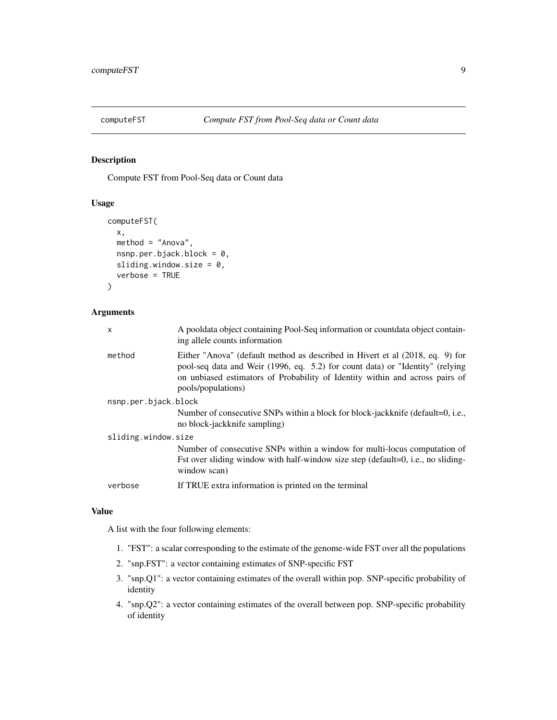<span id="page-8-0"></span>

Compute FST from Pool-Seq data or Count data

#### Usage

```
computeFST(
  x,
  method = "Anova",
  nsnp.per.bjack.block = 0,
  sliding.window.size = 0,
  verbose = TRUE
\mathcal{L}
```
#### Arguments

| x                    | A pooldata object containing Pool-Seq information or countdata object contain-<br>ing allele counts information                                                                                                                                                      |
|----------------------|----------------------------------------------------------------------------------------------------------------------------------------------------------------------------------------------------------------------------------------------------------------------|
| method               | Either "Anova" (default method as described in Hivert et al (2018, eq. 9) for<br>pool-seq data and Weir (1996, eq. 5.2) for count data) or "Identity" (relying<br>on unbiased estimators of Probability of Identity within and across pairs of<br>pools/populations) |
| nsnp.per.bjack.block |                                                                                                                                                                                                                                                                      |
|                      | Number of consecutive SNPs within a block for block-jackknife (default=0, i.e.,<br>no block-jackknife sampling)                                                                                                                                                      |
| sliding.window.size  |                                                                                                                                                                                                                                                                      |
|                      | Number of consecutive SNPs within a window for multi-locus computation of<br>Fst over sliding window with half-window size step (default=0, i.e., no sliding-<br>window scan)                                                                                        |
| verbose              | If TRUE extra information is printed on the terminal                                                                                                                                                                                                                 |
|                      |                                                                                                                                                                                                                                                                      |

#### Value

A list with the four following elements:

- 1. "FST": a scalar corresponding to the estimate of the genome-wide FST over all the populations
- 2. "snp.FST": a vector containing estimates of SNP-specific FST
- 3. "snp.Q1": a vector containing estimates of the overall within pop. SNP-specific probability of identity
- 4. "snp.Q2": a vector containing estimates of the overall between pop. SNP-specific probability of identity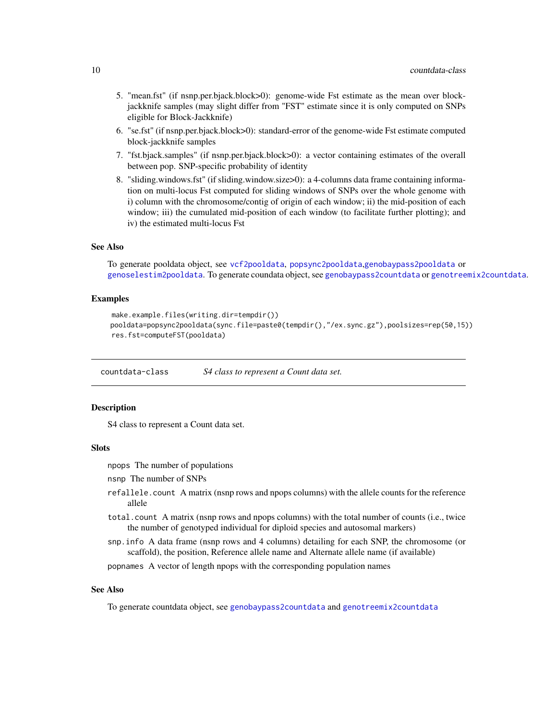- <span id="page-9-0"></span>5. "mean.fst" (if nsnp.per.bjack.block>0): genome-wide Fst estimate as the mean over blockjackknife samples (may slight differ from "FST" estimate since it is only computed on SNPs eligible for Block-Jackknife)
- 6. "se.fst" (if nsnp.per.bjack.block>0): standard-error of the genome-wide Fst estimate computed block-jackknife samples
- 7. "fst.bjack.samples" (if nsnp.per.bjack.block>0): a vector containing estimates of the overall between pop. SNP-specific probability of identity
- 8. "sliding.windows.fst" (if sliding.window.size>0): a 4-columns data frame containing information on multi-locus Fst computed for sliding windows of SNPs over the whole genome with i) column with the chromosome/contig of origin of each window; ii) the mid-position of each window; iii) the cumulated mid-position of each window (to facilitate further plotting); and iv) the estimated multi-locus Fst

#### See Also

To generate pooldata object, see [vcf2pooldata](#page-50-1), [popsync2pooldata](#page-44-1),[genobaypass2pooldata](#page-21-1) or [genoselestim2pooldata](#page-22-1). To generate coundata object, see [genobaypass2countdata](#page-19-1) or [genotreemix2countdata](#page-24-1).

#### Examples

```
make.example.files(writing.dir=tempdir())
pooldata=popsync2pooldata(sync.file=paste0(tempdir(),"/ex.sync.gz"),poolsizes=rep(50,15))
res.fst=computeFST(pooldata)
```
countdata-class *S4 class to represent a Count data set.*

#### **Description**

S4 class to represent a Count data set.

#### Slots

npops The number of populations

- nsnp The number of SNPs
- refallele.count A matrix (nsnp rows and npops columns) with the allele counts for the reference allele
- total.count A matrix (nsnp rows and npops columns) with the total number of counts (i.e., twice the number of genotyped individual for diploid species and autosomal markers)
- snp.info A data frame (nsnp rows and 4 columns) detailing for each SNP, the chromosome (or scaffold), the position, Reference allele name and Alternate allele name (if available)

popnames A vector of length npops with the corresponding population names

# See Also

To generate countdata object, see [genobaypass2countdata](#page-19-1) and [genotreemix2countdata](#page-24-1)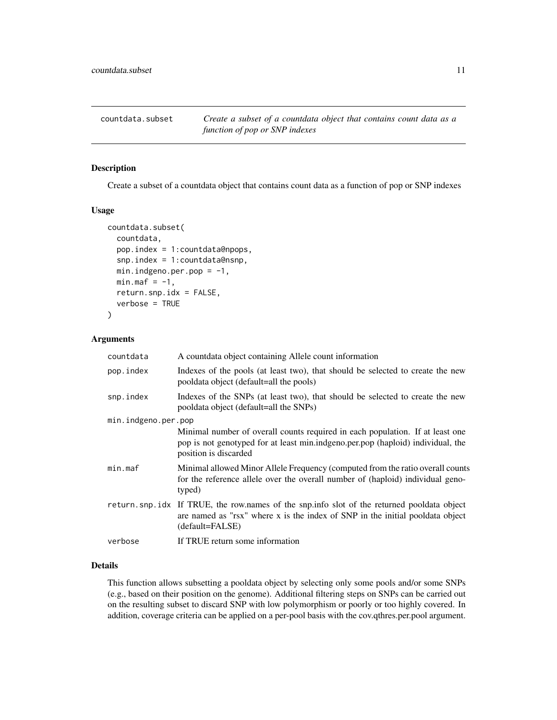<span id="page-10-0"></span>countdata.subset *Create a subset of a countdata object that contains count data as a function of pop or SNP indexes*

### Description

Create a subset of a countdata object that contains count data as a function of pop or SNP indexes

#### Usage

```
countdata.subset(
  countdata,
  pop.index = 1:countdata@npops,
  snp.index = 1:countdata@nsnp,
  min.indgeno.per.pop = -1,
 min.max = -1,
  return.snp.idx = FALSE,
  verbose = TRUE
)
```
# Arguments

| countdata           | A count data object containing Allele count information                                                                                                                                          |
|---------------------|--------------------------------------------------------------------------------------------------------------------------------------------------------------------------------------------------|
| pop.index           | Indexes of the pools (at least two), that should be selected to create the new<br>pooldata object (default=all the pools)                                                                        |
| snp.index           | Indexes of the SNPs (at least two), that should be selected to create the new<br>pooldata object (default=all the SNPs)                                                                          |
| min.indgeno.per.pop |                                                                                                                                                                                                  |
|                     | Minimal number of overall counts required in each population. If at least one<br>pop is not genotyped for at least min.indgeno.per.pop (haploid) individual, the<br>position is discarded        |
| min.max             | Minimal allowed Minor Allele Frequency (computed from the ratio overall counts<br>for the reference allele over the overall number of (haploid) individual geno-<br>typed)                       |
|                     | return snp. idx If TRUE, the row names of the snp. info slot of the returned pooldata object<br>are named as "rsx" where x is the index of SNP in the initial pooldata object<br>(default=FALSE) |
| verbose             | If TRUE return some information                                                                                                                                                                  |

# Details

This function allows subsetting a pooldata object by selecting only some pools and/or some SNPs (e.g., based on their position on the genome). Additional filtering steps on SNPs can be carried out on the resulting subset to discard SNP with low polymorphism or poorly or too highly covered. In addition, coverage criteria can be applied on a per-pool basis with the cov.qthres.per.pool argument.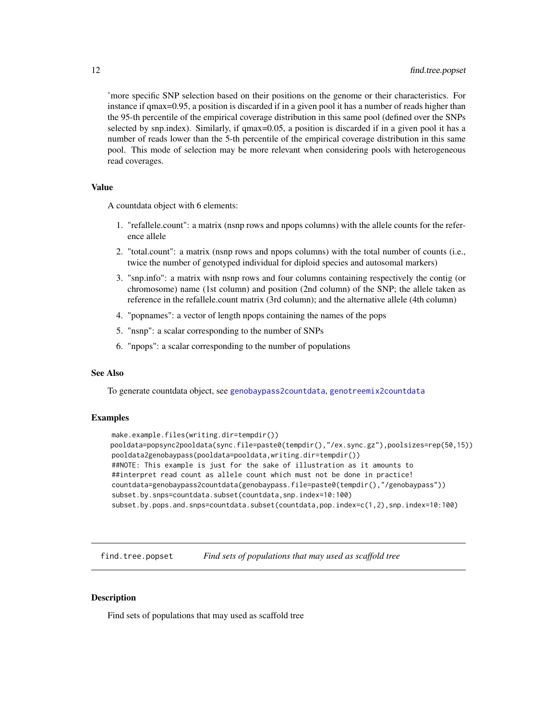'more specific SNP selection based on their positions on the genome or their characteristics. For instance if qmax=0.95, a position is discarded if in a given pool it has a number of reads higher than the 95-th percentile of the empirical coverage distribution in this same pool (defined over the SNPs selected by snp.index). Similarly, if qmax=0.05, a position is discarded if in a given pool it has a number of reads lower than the 5-th percentile of the empirical coverage distribution in this same pool. This mode of selection may be more relevant when considering pools with heterogeneous read coverages.

#### Value

A countdata object with 6 elements:

- 1. "refallele.count": a matrix (nsnp rows and npops columns) with the allele counts for the reference allele
- 2. "total.count": a matrix (nsnp rows and npops columns) with the total number of counts (i.e., twice the number of genotyped individual for diploid species and autosomal markers)
- 3. "snp.info": a matrix with nsnp rows and four columns containing respectively the contig (or chromosome) name (1st column) and position (2nd column) of the SNP; the allele taken as reference in the refallele.count matrix (3rd column); and the alternative allele (4th column)
- 4. "popnames": a vector of length npops containing the names of the pops
- 5. "nsnp": a scalar corresponding to the number of SNPs
- 6. "npops": a scalar corresponding to the number of populations

#### See Also

To generate countdata object, see [genobaypass2countdata](#page-19-1), [genotreemix2countdata](#page-24-1)

#### Examples

```
make.example.files(writing.dir=tempdir())
pooldata=popsync2pooldata(sync.file=paste0(tempdir(),"/ex.sync.gz"),poolsizes=rep(50,15))
pooldata2genobaypass(pooldata=pooldata,writing.dir=tempdir())
##NOTE: This example is just for the sake of illustration as it amounts to
##interpret read count as allele count which must not be done in practice!
countdata=genobaypass2countdata(genobaypass.file=paste0(tempdir(),"/genobaypass"))
subset.by.snps=countdata.subset(countdata,snp.index=10:100)
subset.by.pops.and.snps=countdata.subset(countdata,pop.index=c(1,2),snp.index=10:100)
```
find.tree.popset *Find sets of populations that may used as scaffold tree*

### **Description**

Find sets of populations that may used as scaffold tree

<span id="page-11-0"></span>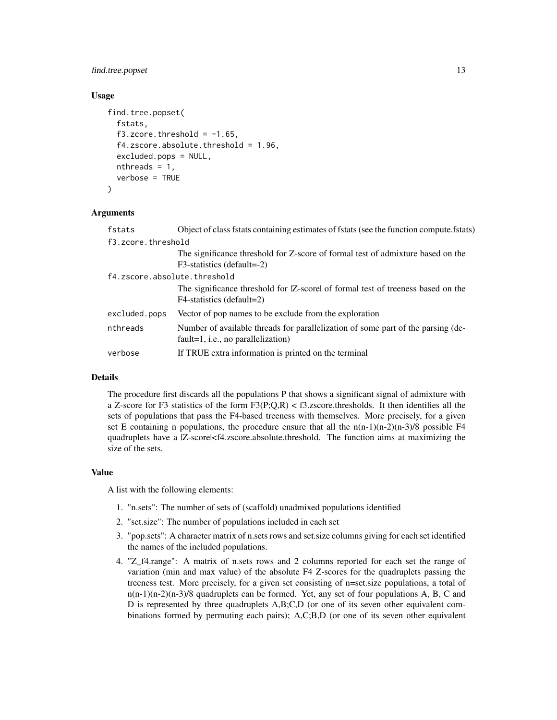# find.tree.popset 13

# Usage

```
find.tree.popset(
  fstats,
  f3.zcore. threshold = -1.65,
  f4.zscore.absolute.threshold = 1.96,
  excluded.pops = NULL,
  nthreads = 1,
  verbose = TRUE
)
```
#### Arguments

| fstats                       | Object of class fstats containing estimates of fstats (see the function compute.fstats)                                   |  |  |  |  |
|------------------------------|---------------------------------------------------------------------------------------------------------------------------|--|--|--|--|
| f3.zcore.threshold           |                                                                                                                           |  |  |  |  |
|                              | The significance threshold for Z-score of formal test of admixture based on the                                           |  |  |  |  |
|                              | F3-statistics (default=-2)                                                                                                |  |  |  |  |
| f4.zscore.absolute.threshold |                                                                                                                           |  |  |  |  |
|                              | The significance threshold for [Z-score] of formal test of treeness based on the<br>F4-statistics (default=2)             |  |  |  |  |
| excluded.pops                | Vector of pop names to be exclude from the exploration                                                                    |  |  |  |  |
| nthreads                     | Number of available threads for parallelization of some part of the parsing (de-<br>$fault=1$ , i.e., no parallelization) |  |  |  |  |
| verbose                      | If TRUE extra information is printed on the terminal                                                                      |  |  |  |  |

#### Details

The procedure first discards all the populations P that shows a significant signal of admixture with a Z-score for F3 statistics of the form  $F_3(P;Q,R) < 13$ . zscore.thresholds. It then identifies all the sets of populations that pass the F4-based treeness with themselves. More precisely, for a given set E containing n populations, the procedure ensure that all the  $n(n-1)(n-2)(n-3)/8$  possible F4 quadruplets have a |Z-score|<f4.zscore.absolute.threshold. The function aims at maximizing the size of the sets.

#### Value

A list with the following elements:

- 1. "n.sets": The number of sets of (scaffold) unadmixed populations identified
- 2. "set.size": The number of populations included in each set
- 3. "pop.sets": A character matrix of n.sets rows and set.size columns giving for each set identified the names of the included populations.
- 4. "Z\_f4.range": A matrix of n.sets rows and 2 columns reported for each set the range of variation (min and max value) of the absolute F4 Z-scores for the quadruplets passing the treeness test. More precisely, for a given set consisting of n=set.size populations, a total of n(n-1)(n-2)(n-3)/8 quadruplets can be formed. Yet, any set of four populations A, B, C and D is represented by three quadruplets A,B;C,D (or one of its seven other equivalent combinations formed by permuting each pairs); A,C;B,D (or one of its seven other equivalent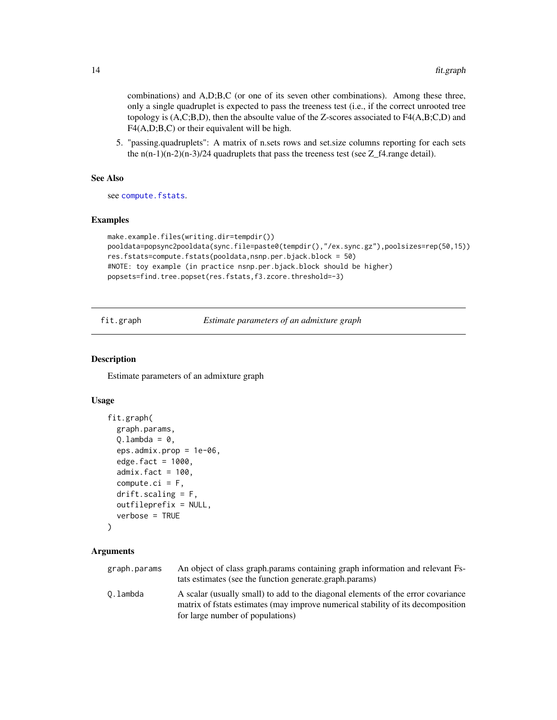<span id="page-13-0"></span>combinations) and A,D;B,C (or one of its seven other combinations). Among these three, only a single quadruplet is expected to pass the treeness test (i.e., if the correct unrooted tree topology is  $(A, C; B, D)$ , then the absoulte value of the Z-scores associated to  $F4(A, B; C, D)$  and F4(A,D;B,C) or their equivalent will be high.

5. "passing.quadruplets": A matrix of n.sets rows and set.size columns reporting for each sets the  $n(n-1)(n-2)(n-3)/24$  quadruplets that pass the treeness test (see Z\_f4.range detail).

#### See Also

see [compute.fstats](#page-5-1).

#### Examples

```
make.example.files(writing.dir=tempdir())
pooldata=popsync2pooldata(sync.file=paste0(tempdir(),"/ex.sync.gz"),poolsizes=rep(50,15))
res.fstats=compute.fstats(pooldata,nsnp.per.bjack.block = 50)
#NOTE: toy example (in practice nsnp.per.bjack.block should be higher)
popsets=find.tree.popset(res.fstats,f3.zcore.threshold=-3)
```
<span id="page-13-1"></span>fit.graph *Estimate parameters of an admixture graph*

### Description

Estimate parameters of an admixture graph

#### Usage

```
fit.graph(
  graph.params,
  Q.\lambdaambda = 0,
  eps.admix.prop = 1e-06,
  edge.fact = 1000,admix.fact = 100,
  compute.ci = F,drift.scaling = F,outfileprefix = NULL,
  verbose = TRUE
\mathcal{L}
```
#### Arguments

| graph.params | An object of class graph params containing graph information and relevant Fs-<br>tats estimates (see the function generate.graph.params)                                                                 |
|--------------|----------------------------------------------------------------------------------------------------------------------------------------------------------------------------------------------------------|
| 0.lambda     | A scalar (usually small) to add to the diagonal elements of the error covariance<br>matrix of fstats estimates (may improve numerical stability of its decomposition<br>for large number of populations) |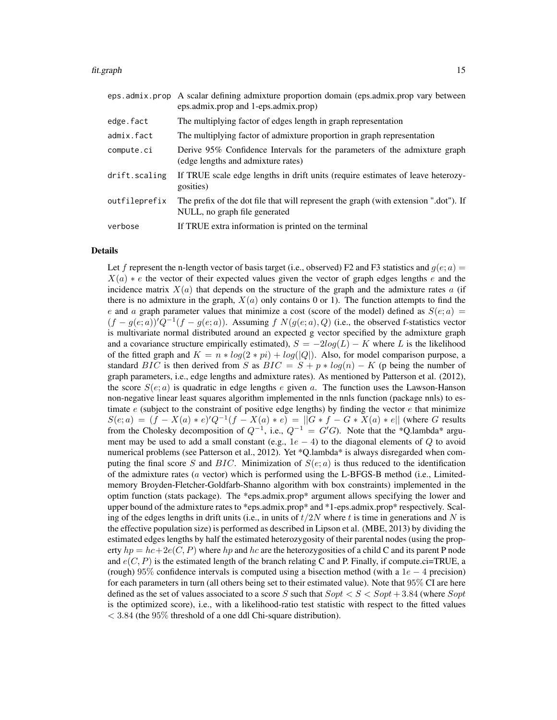#### fit.graph 15

|               | eps. admix. prop A scalar defining admixture proportion domain (eps. admix. prop vary between<br>eps.admix.prop and 1-eps.admix.prop) |
|---------------|---------------------------------------------------------------------------------------------------------------------------------------|
| edge.fact     | The multiplying factor of edges length in graph representation                                                                        |
| admix.fact    | The multiplying factor of admixture proportion in graph representation                                                                |
| compute.ci    | Derive 95% Confidence Intervals for the parameters of the admixture graph<br>(edge lengths and admixture rates)                       |
| drift.scaling | If TRUE scale edge lengths in drift units (require estimates of leave heterozy-<br>gosities)                                          |
| outfileprefix | The prefix of the dot file that will represent the graph (with extension ".dot"). If<br>NULL, no graph file generated                 |
| verbose       | If TRUE extra information is printed on the terminal                                                                                  |

#### Details

Let f represent the n-length vector of basis target (i.e., observed) F2 and F3 statistics and  $g(e; a)$  =  $X(a) * e$  the vector of their expected values given the vector of graph edges lengths e and the incidence matrix  $X(a)$  that depends on the structure of the graph and the admixture rates a (if there is no admixture in the graph,  $X(a)$  only contains 0 or 1). The function attempts to find the e and a graph parameter values that minimize a cost (score of the model) defined as  $S(e; a)$  $(f - g(e; a))'Q^{-1}(f - g(e; a))$ . Assuming f  $N(g(e; a), Q)$  (i.e., the observed f-statistics vector is multivariate normal distributed around an expected g vector specified by the admixture graph and a covariance structure empirically estimated),  $S = -2log(L) - K$  where L is the likelihood of the fitted graph and  $K = n * log(2 * pi) + log(|Q|)$ . Also, for model comparison purpose, a standard BIC is then derived from S as  $BIC = S + p * log(n) - K$  (p being the number of graph parameters, i.e., edge lengths and admixture rates). As mentioned by Patterson et al. (2012), the score  $S(e; a)$  is quadratic in edge lengths e given a. The function uses the Lawson-Hanson non-negative linear least squares algorithm implemented in the nnls function (package nnls) to estimate  $e$  (subject to the constraint of positive edge lengths) by finding the vector  $e$  that minimize  $S(e; a) = (f - X(a) * e)'Q^{-1}(f - X(a) * e) = ||G * f - G * X(a) * e||$  (where G results from the Cholesky decomposition of  $Q^{-1}$ , i.e.,  $Q^{-1} = G'G$ ). Note that the \*Q.lambda\* argument may be used to add a small constant (e.g.,  $1e - 4$ ) to the diagonal elements of Q to avoid numerical problems (see Patterson et al., 2012). Yet \*Q.lambda\* is always disregarded when computing the final score S and BIC. Minimization of  $S(e; a)$  is thus reduced to the identification of the admixture rates (a vector) which is performed using the L-BFGS-B method (i.e., Limitedmemory Broyden-Fletcher-Goldfarb-Shanno algorithm with box constraints) implemented in the optim function (stats package). The \*eps.admix.prop\* argument allows specifying the lower and upper bound of the admixture rates to \*eps.admix.prop\* and \*1-eps.admix.prop\* respectively. Scaling of the edges lengths in drift units (i.e., in units of  $t/2N$  where t is time in generations and N is the effective population size) is performed as described in Lipson et al. (MBE, 2013) by dividing the estimated edges lengths by half the estimated heterozygosity of their parental nodes (using the property  $hp = hc + 2e(C, P)$  where hp and hc are the heterozygosities of a child C and its parent P node and  $e(C, P)$  is the estimated length of the branch relating C and P. Finally, if compute.ci=TRUE, a (rough) 95% confidence intervals is computed using a bisection method (with a  $1e - 4$  precision) for each parameters in turn (all others being set to their estimated value). Note that 95% CI are here defined as the set of values associated to a score S such that  $Sopt < S < Sopt + 3.84$  (where Sopt is the optimized score), i.e., with a likelihood-ratio test statistic with respect to the fitted values  $<$  3.84 (the 95% threshold of a one ddl Chi-square distribution).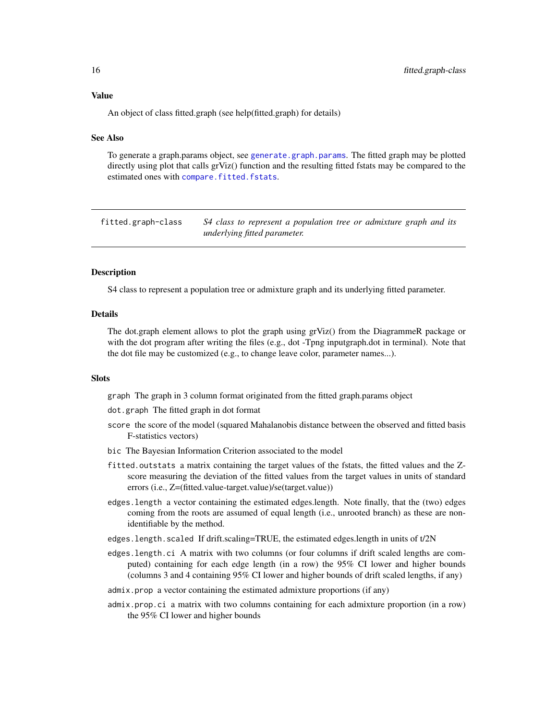<span id="page-15-0"></span>An object of class fitted.graph (see help(fitted.graph) for details)

#### See Also

To generate a graph.params object, see [generate.graph.params](#page-17-1). The fitted graph may be plotted directly using plot that calls grViz() function and the resulting fitted fstats may be compared to the estimated ones with [compare.fitted.fstats](#page-3-1).

fitted.graph-class *S4 class to represent a population tree or admixture graph and its underlying fitted parameter.*

#### Description

S4 class to represent a population tree or admixture graph and its underlying fitted parameter.

# Details

The dot.graph element allows to plot the graph using grViz() from the DiagrammeR package or with the dot program after writing the files (e.g., dot -Tpng inputgraph.dot in terminal). Note that the dot file may be customized (e.g., to change leave color, parameter names...).

#### **Slots**

graph The graph in 3 column format originated from the fitted graph.params object

dot.graph The fitted graph in dot format

- score the score of the model (squared Mahalanobis distance between the observed and fitted basis F-statistics vectors)
- bic The Bayesian Information Criterion associated to the model
- fitted.outstats a matrix containing the target values of the fstats, the fitted values and the Zscore measuring the deviation of the fitted values from the target values in units of standard errors (i.e., Z=(fitted.value-target.value)/se(target.value))
- edges.length a vector containing the estimated edges.length. Note finally, that the (two) edges coming from the roots are assumed of equal length (i.e., unrooted branch) as these are nonidentifiable by the method.
- edges.length.scaled If drift.scaling=TRUE, the estimated edges.length in units of t/2N
- edges.length.ci A matrix with two columns (or four columns if drift scaled lengths are computed) containing for each edge length (in a row) the 95% CI lower and higher bounds (columns 3 and 4 containing 95% CI lower and higher bounds of drift scaled lengths, if any)
- admix.prop a vector containing the estimated admixture proportions (if any)
- admix.prop.ci a matrix with two columns containing for each admixture proportion (in a row) the 95% CI lower and higher bounds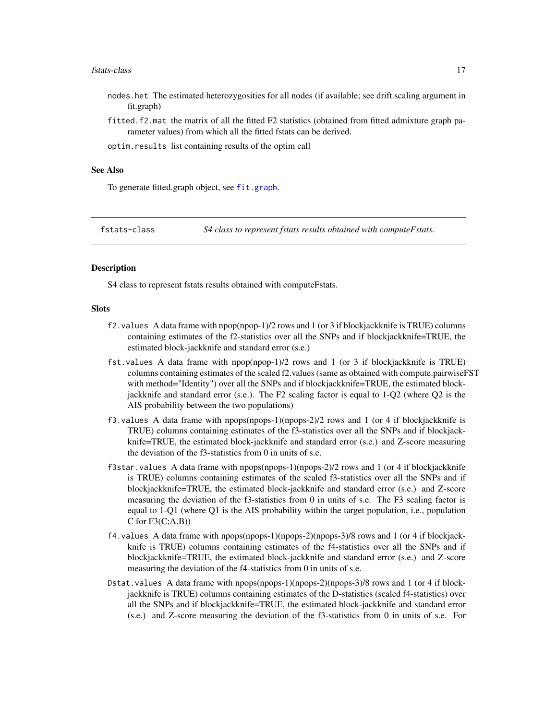#### <span id="page-16-0"></span>fstats-class 17

- nodes.het The estimated heterozygosities for all nodes (if available; see drift.scaling argument in fit.graph)
- fitted.f2.mat the matrix of all the fitted F2 statistics (obtained from fitted admixture graph parameter values) from which all the fitted fstats can be derived.

optim.results list containing results of the optim call

#### See Also

To generate fitted.graph object, see [fit.graph](#page-13-1).

fstats-class *S4 class to represent fstats results obtained with computeFstats.*

#### **Description**

S4 class to represent fstats results obtained with computeFstats.

#### **Slots**

- f2.values A data frame with npop(npop-1)/2 rows and 1 (or 3 if blockjackknife is TRUE) columns containing estimates of the f2-statistics over all the SNPs and if blockjackknife=TRUE, the estimated block-jackknife and standard error (s.e.)
- fst.values A data frame with npop(npop-1)/2 rows and 1 (or 3 if blockjackknife is TRUE) columns containing estimates of the scaled f2.values (same as obtained with compute.pairwiseFST with method="Identity") over all the SNPs and if blockjackknife=TRUE, the estimated blockjackknife and standard error (s.e.). The F2 scaling factor is equal to 1-Q2 (where Q2 is the AIS probability between the two populations)
- f3.values A data frame with npops(npops-1)(npops-2)/2 rows and 1 (or 4 if blockjackknife is TRUE) columns containing estimates of the f3-statistics over all the SNPs and if blockjackknife=TRUE, the estimated block-jackknife and standard error (s.e.) and Z-score measuring the deviation of the f3-statistics from 0 in units of s.e.
- f3star.values A data frame with  $npos(npops-1)(npops-2)/2$  rows and 1 (or 4 if blockjackknife is TRUE) columns containing estimates of the scaled f3-statistics over all the SNPs and if blockjackknife=TRUE, the estimated block-jackknife and standard error (s.e.) and Z-score measuring the deviation of the f3-statistics from 0 in units of s.e. The F3 scaling factor is equal to 1-Q1 (where Q1 is the AIS probability within the target population, i.e., population  $C$  for  $F3(C;A,B)$
- f4.values A data frame with npops(npops-1)(npops-2)(npops-3)/8 rows and 1 (or 4 if blockjackknife is TRUE) columns containing estimates of the f4-statistics over all the SNPs and if blockjackknife=TRUE, the estimated block-jackknife and standard error (s.e.) and Z-score measuring the deviation of the f4-statistics from 0 in units of s.e.
- Dstat.values A data frame with npops(npops-1)(npops-2)(npops-3)/8 rows and 1 (or 4 if blockjackknife is TRUE) columns containing estimates of the D-statistics (scaled f4-statistics) over all the SNPs and if blockjackknife=TRUE, the estimated block-jackknife and standard error (s.e.) and Z-score measuring the deviation of the f3-statistics from 0 in units of s.e. For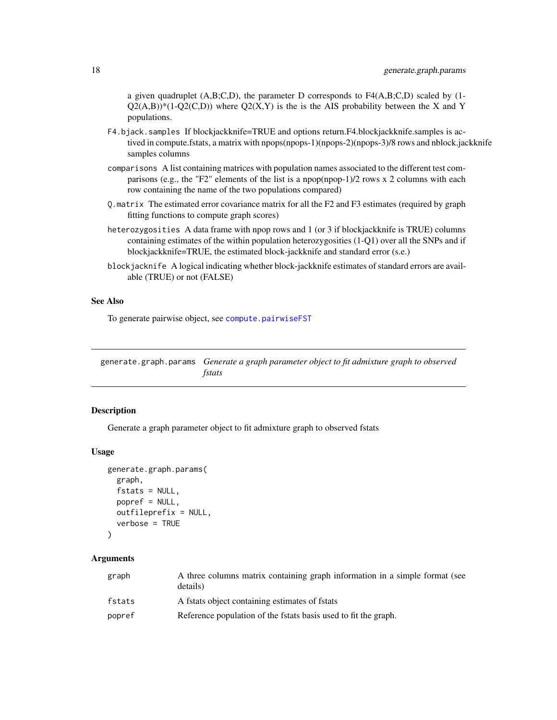<span id="page-17-0"></span>a given quadruplet  $(A,B;C,D)$ , the parameter D corresponds to  $F4(A,B;C,D)$  scaled by (1- $Q2(A,B)$ <sup>\*</sup>(1-Q2(C,D)) where Q2(X,Y) is the is the AIS probability between the X and Y populations.

- F4.bjack.samples If blockjackknife=TRUE and options return.F4.blockjackknife.samples is actived in compute.fstats, a matrix with npops(npops-1)(npops-2)(npops-3)/8 rows and nblock.jackknife samples columns
- comparisons A list containing matrices with population names associated to the different test comparisons (e.g., the "F2" elements of the list is a npop(npop-1)/2 rows x 2 columns with each row containing the name of the two populations compared)
- Q.matrix The estimated error covariance matrix for all the F2 and F3 estimates (required by graph fitting functions to compute graph scores)
- heterozygosities A data frame with npop rows and 1 (or 3 if blockjackknife is TRUE) columns containing estimates of the within population heterozygosities (1-Q1) over all the SNPs and if blockjackknife=TRUE, the estimated block-jackknife and standard error (s.e.)
- blockjacknife A logical indicating whether block-jackknife estimates of standard errors are available (TRUE) or not (FALSE)

#### See Also

To generate pairwise object, see [compute.pairwiseFST](#page-6-1)

<span id="page-17-1"></span>generate.graph.params *Generate a graph parameter object to fit admixture graph to observed fstats*

# Description

Generate a graph parameter object to fit admixture graph to observed fstats

#### Usage

```
generate.graph.params(
  graph,
  fstats = NULL,
 popref = NULL,
 outfileprefix = NULL,
  verbose = TRUE
)
```
# Arguments

| graph  | A three columns matrix containing graph information in a simple format (see<br>details) |
|--------|-----------------------------------------------------------------------------------------|
| fstats | A fstats object containing estimates of fstats                                          |
| popref | Reference population of the fstats basis used to fit the graph.                         |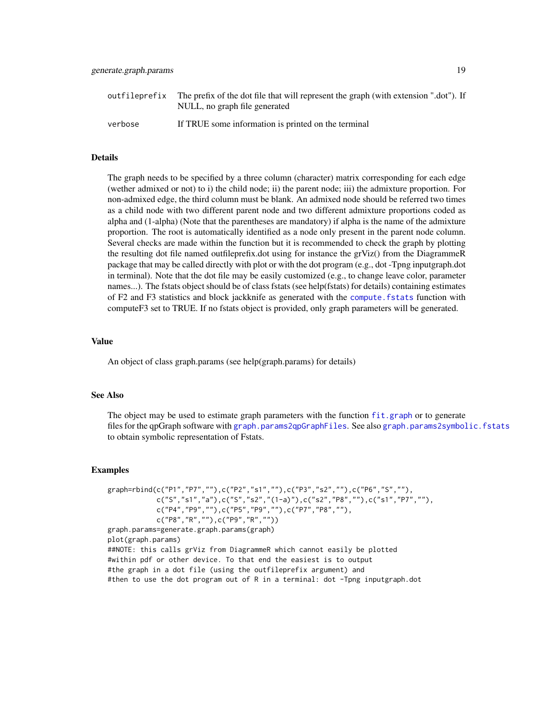<span id="page-18-0"></span>

| outfileprefix | The prefix of the dot file that will represent the graph (with extension ".dot"). If<br>NULL, no graph file generated |
|---------------|-----------------------------------------------------------------------------------------------------------------------|
| verbose       | If TRUE some information is printed on the terminal                                                                   |

#### **Details**

The graph needs to be specified by a three column (character) matrix corresponding for each edge (wether admixed or not) to i) the child node; ii) the parent node; iii) the admixture proportion. For non-admixed edge, the third column must be blank. An admixed node should be referred two times as a child node with two different parent node and two different admixture proportions coded as alpha and (1-alpha) (Note that the parentheses are mandatory) if alpha is the name of the admixture proportion. The root is automatically identified as a node only present in the parent node column. Several checks are made within the function but it is recommended to check the graph by plotting the resulting dot file named outfileprefix.dot using for instance the grViz() from the DiagrammeR package that may be called directly with plot or with the dot program (e.g., dot -Tpng inputgraph.dot in terminal). Note that the dot file may be easily customized (e.g., to change leave color, parameter names...). The fstats object should be of class fstats (see help(fstats) for details) containing estimates of F2 and F3 statistics and block jackknife as generated with the [compute.fstats](#page-5-1) function with computeF3 set to TRUE. If no fstats object is provided, only graph parameters will be generated.

# Value

An object of class graph.params (see help(graph.params) for details)

#### See Also

The object may be used to estimate graph parameters with the function [fit.graph](#page-13-1) or to generate files for the qpGraph software with [graph.params2qpGraphFiles](#page-28-1). See also [graph.params2symbolic.fstats](#page-29-1) to obtain symbolic representation of Fstats.

#### Examples

```
graph=rbind(c("P1","P7",""),c("P2","s1",""),c("P3","s2",""),c("P6","S",""),
           c("S","s1","a"),c("S","s2","(1-a)"),c("s2","P8",""),c("s1","P7",""),
           c("P4","P9",""),c("P5","P9",""),c("P7","P8",""),
           c("P8","R",""),c("P9","R",""))
graph.params=generate.graph.params(graph)
plot(graph.params)
##NOTE: this calls grViz from DiagrammeR which cannot easily be plotted
#within pdf or other device. To that end the easiest is to output
#the graph in a dot file (using the outfileprefix argument) and
#then to use the dot program out of R in a terminal: dot -Tpng inputgraph.dot
```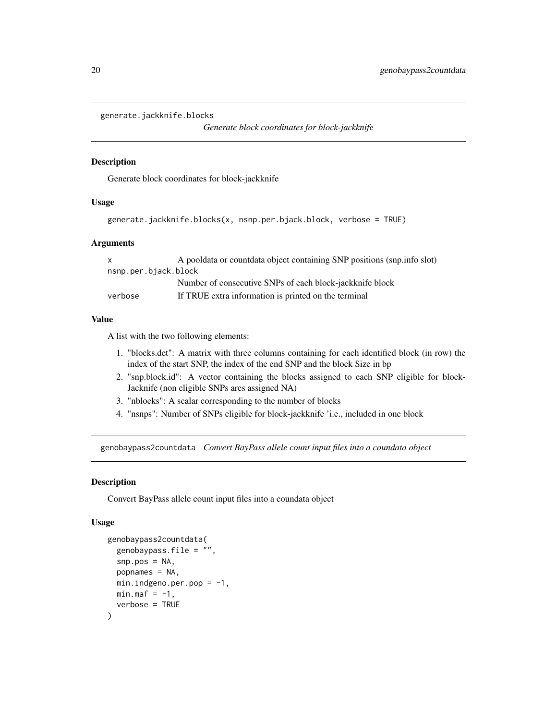```
generate.jackknife.blocks
```
*Generate block coordinates for block-jackknife*

### Description

Generate block coordinates for block-jackknife

### Usage

```
generate.jackknife.blocks(x, nsnp.per.bjack.block, verbose = TRUE)
```
#### Arguments

| $\mathsf{X}$         | A pooldata or countdata object containing SNP positions (snp.info slot) |  |
|----------------------|-------------------------------------------------------------------------|--|
| nsnp.per.bjack.block |                                                                         |  |
|                      | Number of consecutive SNPs of each block-jackknife block                |  |
| verbose              | If TRUE extra information is printed on the terminal                    |  |

# Value

A list with the two following elements:

- 1. "blocks.det": A matrix with three columns containing for each identified block (in row) the index of the start SNP, the index of the end SNP and the block Size in bp
- 2. "snp.block.id": A vector containing the blocks assigned to each SNP eligible for block-Jacknife (non eligible SNPs ares assigned NA)
- 3. "nblocks": A scalar corresponding to the number of blocks
- 4. "nsnps": Number of SNPs eligible for block-jackknife 'i.e., included in one block

<span id="page-19-1"></span>genobaypass2countdata *Convert BayPass allele count input files into a coundata object*

#### Description

Convert BayPass allele count input files into a coundata object

# Usage

```
genobaypass2countdata(
  genobaypass.file = "",
  snp.pos = NA,
 popnames = NA,
 min.indgeno.per.pop = -1,
 min.max = -1,
  verbose = TRUE
)
```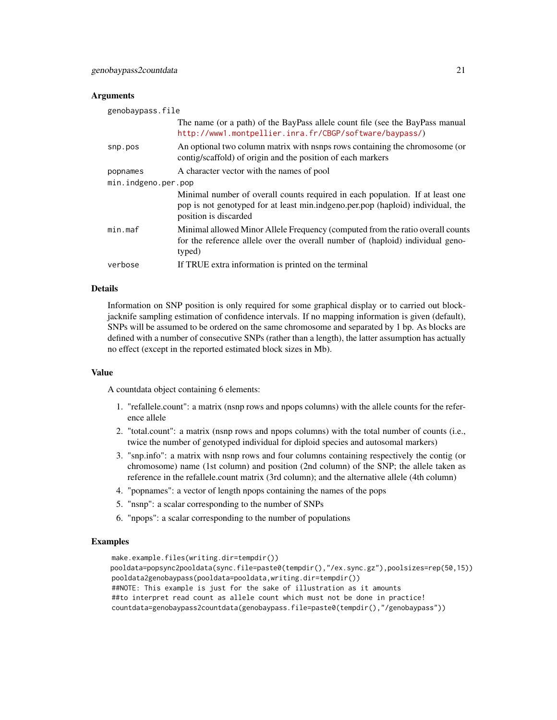#### **Arguments**

| genobaypass.file    |                                                                                                                                                                                           |  |
|---------------------|-------------------------------------------------------------------------------------------------------------------------------------------------------------------------------------------|--|
|                     | The name (or a path) of the BayPass allele count file (see the BayPass manual<br>http://www1.montpellier.inra.fr/CBGP/software/baypass/)                                                  |  |
| snp.pos             | An optional two column matrix with namps rows containing the chromosome (or<br>contig/scaffold) of origin and the position of each markers                                                |  |
| popnames            | A character vector with the names of pool                                                                                                                                                 |  |
| min.indgeno.per.pop |                                                                                                                                                                                           |  |
|                     | Minimal number of overall counts required in each population. If at least one<br>pop is not genotyped for at least min.indgeno.per.pop (haploid) individual, the<br>position is discarded |  |
| min.max             | Minimal allowed Minor Allele Frequency (computed from the ratio overall counts<br>for the reference allele over the overall number of (haploid) individual geno-<br>typed)                |  |
| verbose             | If TRUE extra information is printed on the terminal                                                                                                                                      |  |

### Details

Information on SNP position is only required for some graphical display or to carried out blockjacknife sampling estimation of confidence intervals. If no mapping information is given (default), SNPs will be assumed to be ordered on the same chromosome and separated by 1 bp. As blocks are defined with a number of consecutive SNPs (rather than a length), the latter assumption has actually no effect (except in the reported estimated block sizes in Mb).

### Value

A countdata object containing 6 elements:

- 1. "refallele.count": a matrix (nsnp rows and npops columns) with the allele counts for the reference allele
- 2. "total.count": a matrix (nsnp rows and npops columns) with the total number of counts (i.e., twice the number of genotyped individual for diploid species and autosomal markers)
- 3. "snp.info": a matrix with nsnp rows and four columns containing respectively the contig (or chromosome) name (1st column) and position (2nd column) of the SNP; the allele taken as reference in the refallele.count matrix (3rd column); and the alternative allele (4th column)
- 4. "popnames": a vector of length npops containing the names of the pops
- 5. "nsnp": a scalar corresponding to the number of SNPs
- 6. "npops": a scalar corresponding to the number of populations

#### Examples

make.example.files(writing.dir=tempdir()) pooldata=popsync2pooldata(sync.file=paste0(tempdir(),"/ex.sync.gz"),poolsizes=rep(50,15)) pooldata2genobaypass(pooldata=pooldata,writing.dir=tempdir()) ##NOTE: This example is just for the sake of illustration as it amounts ##to interpret read count as allele count which must not be done in practice! countdata=genobaypass2countdata(genobaypass.file=paste0(tempdir(),"/genobaypass"))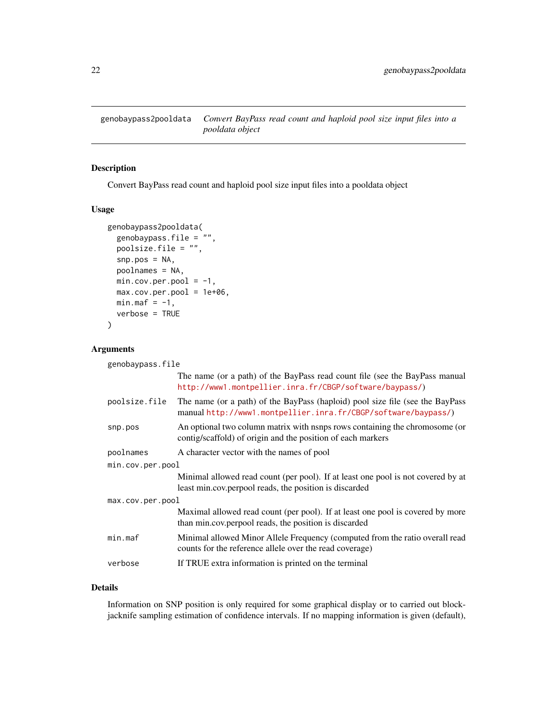<span id="page-21-1"></span><span id="page-21-0"></span>genobaypass2pooldata *Convert BayPass read count and haploid pool size input files into a pooldata object*

# Description

Convert BayPass read count and haploid pool size input files into a pooldata object

# Usage

```
genobaypass2pooldata(
 genobaypass.file = "",
 poolsize.file = "",
 snp.pos = NA,
 poolnames = NA,
 min.cov.per.pool = -1,
 max.cov.per.pool = 1e+06,
 min.max = -1,
 verbose = TRUE
)
```
### Arguments

| genobaypass.file |                                                                                                                                                 |  |
|------------------|-------------------------------------------------------------------------------------------------------------------------------------------------|--|
|                  | The name (or a path) of the BayPass read count file (see the BayPass manual<br>http://www1.montpellier.inra.fr/CBGP/software/baypass/)          |  |
| poolsize.file    | The name (or a path) of the BayPass (haploid) pool size file (see the BayPass<br>manual http://www1.montpellier.inra.fr/CBGP/software/baypass/) |  |
| snp.pos          | An optional two column matrix with namps rows containing the chromosome (or<br>contig/scaffold) of origin and the position of each markers      |  |
| poolnames        | A character vector with the names of pool                                                                                                       |  |
| min.cov.per.pool |                                                                                                                                                 |  |
|                  | Minimal allowed read count (per pool). If at least one pool is not covered by at<br>least min.cov.perpool reads, the position is discarded      |  |
| max.cov.per.pool |                                                                                                                                                 |  |
|                  | Maximal allowed read count (per pool). If at least one pool is covered by more<br>than min.cov.perpool reads, the position is discarded         |  |
| min.max          | Minimal allowed Minor Allele Frequency (computed from the ratio overall read<br>counts for the reference allele over the read coverage)         |  |
| verbose          | If TRUE extra information is printed on the terminal                                                                                            |  |

# Details

Information on SNP position is only required for some graphical display or to carried out blockjacknife sampling estimation of confidence intervals. If no mapping information is given (default),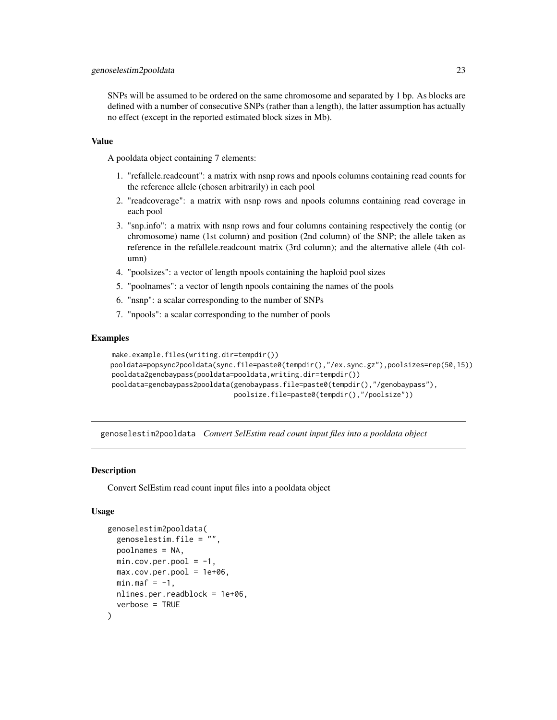<span id="page-22-0"></span>SNPs will be assumed to be ordered on the same chromosome and separated by 1 bp. As blocks are defined with a number of consecutive SNPs (rather than a length), the latter assumption has actually no effect (except in the reported estimated block sizes in Mb).

# Value

A pooldata object containing 7 elements:

- 1. "refallele.readcount": a matrix with nsnp rows and npools columns containing read counts for the reference allele (chosen arbitrarily) in each pool
- 2. "readcoverage": a matrix with nsnp rows and npools columns containing read coverage in each pool
- 3. "snp.info": a matrix with nsnp rows and four columns containing respectively the contig (or chromosome) name (1st column) and position (2nd column) of the SNP; the allele taken as reference in the refallele.readcount matrix (3rd column); and the alternative allele (4th column)
- 4. "poolsizes": a vector of length npools containing the haploid pool sizes
- 5. "poolnames": a vector of length npools containing the names of the pools
- 6. "nsnp": a scalar corresponding to the number of SNPs
- 7. "npools": a scalar corresponding to the number of pools

#### Examples

```
make.example.files(writing.dir=tempdir())
pooldata=popsync2pooldata(sync.file=paste0(tempdir(),"/ex.sync.gz"),poolsizes=rep(50,15))
pooldata2genobaypass(pooldata=pooldata,writing.dir=tempdir())
pooldata=genobaypass2pooldata(genobaypass.file=paste0(tempdir(),"/genobaypass"),
                              poolsize.file=paste0(tempdir(),"/poolsize"))
```
<span id="page-22-1"></span>genoselestim2pooldata *Convert SelEstim read count input files into a pooldata object*

# Description

Convert SelEstim read count input files into a pooldata object

#### Usage

```
genoselestim2pooldata(
  genoselestim.file = "",
 poolnames = NA,
 min.cov.per.pool = -1,
 max.cov.per.pool = 1e+06,
 min.max = -1,
 nlines.per.readblock = 1e+06,
  verbose = TRUE
)
```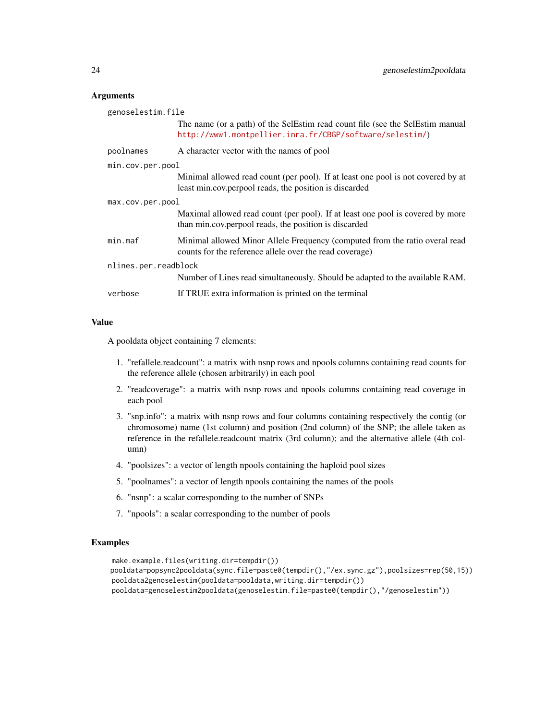#### **Arguments**

| genoselestim.file    |                                                                                                                                            |  |
|----------------------|--------------------------------------------------------------------------------------------------------------------------------------------|--|
|                      | The name (or a path) of the SelEstim read count file (see the SelEstim manual<br>http://www1.montpellier.inra.fr/CBGP/software/selestim/)  |  |
| poolnames            | A character vector with the names of pool                                                                                                  |  |
| min.cov.per.pool     |                                                                                                                                            |  |
|                      | Minimal allowed read count (per pool). If at least one pool is not covered by at<br>least min.cov.perpool reads, the position is discarded |  |
| max.cov.per.pool     |                                                                                                                                            |  |
|                      | Maximal allowed read count (per pool). If at least one pool is covered by more<br>than min.cov.perpool reads, the position is discarded    |  |
| min.max              | Minimal allowed Minor Allele Frequency (computed from the ratio overal read<br>counts for the reference allele over the read coverage)     |  |
| nlines.per.readblock |                                                                                                                                            |  |
|                      | Number of Lines read simultaneously. Should be adapted to the available RAM.                                                               |  |
| verbose              | If TRUE extra information is printed on the terminal                                                                                       |  |

# Value

A pooldata object containing 7 elements:

- 1. "refallele.readcount": a matrix with nsnp rows and npools columns containing read counts for the reference allele (chosen arbitrarily) in each pool
- 2. "readcoverage": a matrix with nsnp rows and npools columns containing read coverage in each pool
- 3. "snp.info": a matrix with nsnp rows and four columns containing respectively the contig (or chromosome) name (1st column) and position (2nd column) of the SNP; the allele taken as reference in the refallele.readcount matrix (3rd column); and the alternative allele (4th column)
- 4. "poolsizes": a vector of length npools containing the haploid pool sizes
- 5. "poolnames": a vector of length npools containing the names of the pools
- 6. "nsnp": a scalar corresponding to the number of SNPs
- 7. "npools": a scalar corresponding to the number of pools

#### Examples

```
make.example.files(writing.dir=tempdir())
pooldata=popsync2pooldata(sync.file=paste0(tempdir(),"/ex.sync.gz"),poolsizes=rep(50,15))
pooldata2genoselestim(pooldata=pooldata,writing.dir=tempdir())
pooldata=genoselestim2pooldata(genoselestim.file=paste0(tempdir(),"/genoselestim"))
```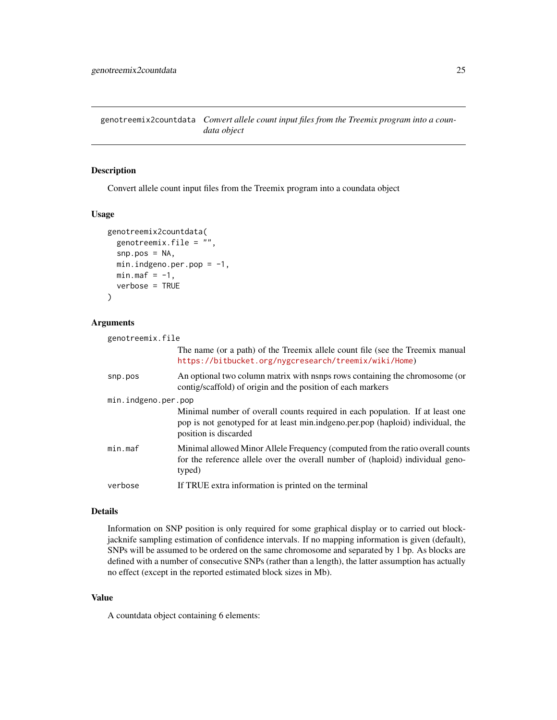<span id="page-24-1"></span><span id="page-24-0"></span>genotreemix2countdata *Convert allele count input files from the Treemix program into a coundata object*

# Description

Convert allele count input files from the Treemix program into a coundata object

#### Usage

```
genotreemix2countdata(
 genotreemix.file = "",
 snp.pos = NA,
 min.index.per.pop = -1,
 min.max = -1,
 verbose = TRUE
)
```
#### Arguments

| genotreemix.file    |                                                                                                                                                                                           |  |
|---------------------|-------------------------------------------------------------------------------------------------------------------------------------------------------------------------------------------|--|
|                     | The name (or a path) of the Treemix allele count file (see the Treemix manual<br>https://bitbucket.org/nygcresearch/treemix/wiki/Home)                                                    |  |
| snp.pos             | An optional two column matrix with namps rows containing the chromosome (or<br>contig/scaffold) of origin and the position of each markers                                                |  |
| min.indgeno.per.pop |                                                                                                                                                                                           |  |
|                     | Minimal number of overall counts required in each population. If at least one<br>pop is not genotyped for at least min.indgeno.per.pop (haploid) individual, the<br>position is discarded |  |
| min.max             | Minimal allowed Minor Allele Frequency (computed from the ratio overall counts<br>for the reference allele over the overall number of (haploid) individual geno-<br>typed)                |  |
| verbose             | If TRUE extra information is printed on the terminal                                                                                                                                      |  |

#### Details

Information on SNP position is only required for some graphical display or to carried out blockjacknife sampling estimation of confidence intervals. If no mapping information is given (default), SNPs will be assumed to be ordered on the same chromosome and separated by 1 bp. As blocks are defined with a number of consecutive SNPs (rather than a length), the latter assumption has actually no effect (except in the reported estimated block sizes in Mb).

#### Value

A countdata object containing 6 elements: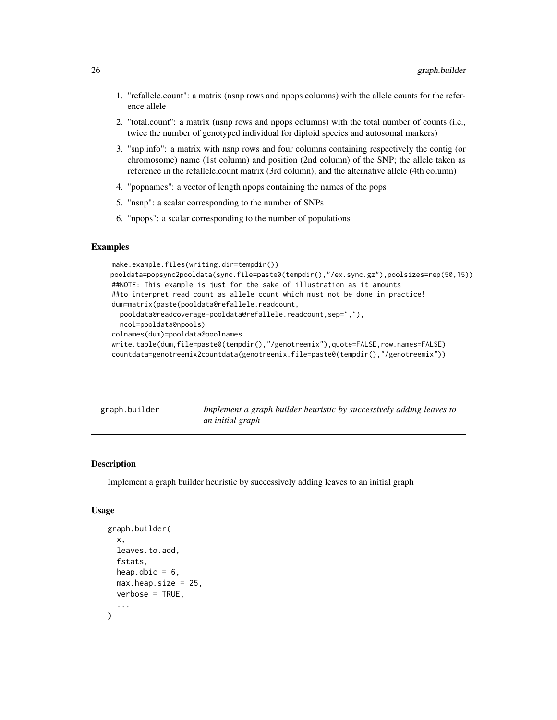- <span id="page-25-0"></span>1. "refallele.count": a matrix (nsnp rows and npops columns) with the allele counts for the reference allele
- 2. "total.count": a matrix (nsnp rows and npops columns) with the total number of counts (i.e., twice the number of genotyped individual for diploid species and autosomal markers)
- 3. "snp.info": a matrix with nsnp rows and four columns containing respectively the contig (or chromosome) name (1st column) and position (2nd column) of the SNP; the allele taken as reference in the refallele.count matrix (3rd column); and the alternative allele (4th column)
- 4. "popnames": a vector of length npops containing the names of the pops
- 5. "nsnp": a scalar corresponding to the number of SNPs
- 6. "npops": a scalar corresponding to the number of populations

#### Examples

```
make.example.files(writing.dir=tempdir())
pooldata=popsync2pooldata(sync.file=paste0(tempdir(),"/ex.sync.gz"),poolsizes=rep(50,15))
##NOTE: This example is just for the sake of illustration as it amounts
##to interpret read count as allele count which must not be done in practice!
dum=matrix(paste(pooldata@refallele.readcount,
  pooldata@readcoverage-pooldata@refallele.readcount,sep=","),
  ncol=pooldata@npools)
colnames(dum)=pooldata@poolnames
write.table(dum,file=paste0(tempdir(),"/genotreemix"),quote=FALSE,row.names=FALSE)
countdata=genotreemix2countdata(genotreemix.file=paste0(tempdir(),"/genotreemix"))
```

| graph.builder | Implement a graph builder heuristic by successively adding leaves to |  |
|---------------|----------------------------------------------------------------------|--|
|               | an initial graph                                                     |  |

# Description

Implement a graph builder heuristic by successively adding leaves to an initial graph

#### Usage

```
graph.builder(
  x,
  leaves.to.add,
  fstats,
  heap.dbic = 6,
  max.heap.size = 25,
  verbose = TRUE,
  ...
)
```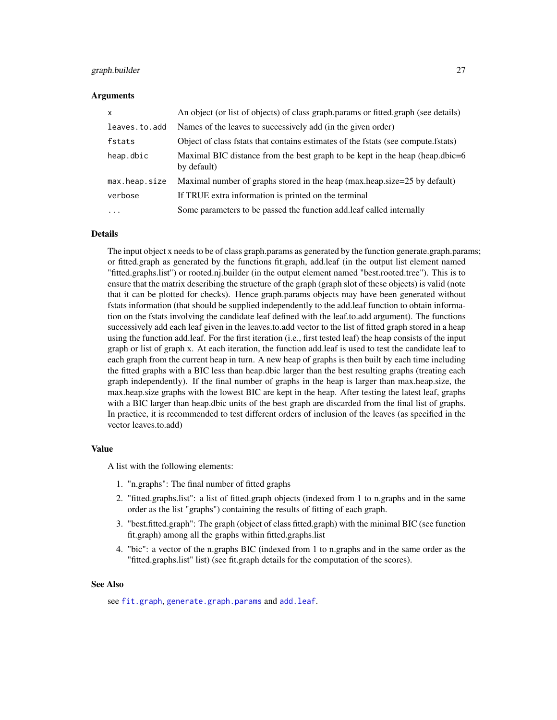#### <span id="page-26-0"></span>graph.builder 27

#### Arguments

| $\mathsf{x}$        | An object (or list of objects) of class graph.params or fitted.graph (see details)          |
|---------------------|---------------------------------------------------------------------------------------------|
| leaves.to.add       | Names of the leaves to successively add (in the given order)                                |
| fstats              | Object of class fstats that contains estimates of the fstats (see compute.fstats)           |
| heap.dbic           | Maximal BIC distance from the best graph to be kept in the heap (heap.dbic=6<br>by default) |
| max.heap.size       | Maximal number of graphs stored in the heap (max.heap.size=25 by default)                   |
| verbose             | If TRUE extra information is printed on the terminal                                        |
| $\cdot \cdot \cdot$ | Some parameters to be passed the function add leaf called internally                        |

#### Details

The input object x needs to be of class graph.params as generated by the function generate.graph.params; or fitted.graph as generated by the functions fit.graph, add.leaf (in the output list element named "fitted.graphs.list") or rooted.nj.builder (in the output element named "best.rooted.tree"). This is to ensure that the matrix describing the structure of the graph (graph slot of these objects) is valid (note that it can be plotted for checks). Hence graph.params objects may have been generated without fstats information (that should be supplied independently to the add.leaf function to obtain information on the fstats involving the candidate leaf defined with the leaf.to.add argument). The functions successively add each leaf given in the leaves.to.add vector to the list of fitted graph stored in a heap using the function add.leaf. For the first iteration (i.e., first tested leaf) the heap consists of the input graph or list of graph x. At each iteration, the function add.leaf is used to test the candidate leaf to each graph from the current heap in turn. A new heap of graphs is then built by each time including the fitted graphs with a BIC less than heap.dbic larger than the best resulting graphs (treating each graph independently). If the final number of graphs in the heap is larger than max.heap.size, the max.heap.size graphs with the lowest BIC are kept in the heap. After testing the latest leaf, graphs with a BIC larger than heap.dbic units of the best graph are discarded from the final list of graphs. In practice, it is recommended to test different orders of inclusion of the leaves (as specified in the vector leaves.to.add)

### Value

A list with the following elements:

- 1. "n.graphs": The final number of fitted graphs
- 2. "fitted.graphs.list": a list of fitted.graph objects (indexed from 1 to n.graphs and in the same order as the list "graphs") containing the results of fitting of each graph.
- 3. "best.fitted.graph": The graph (object of class fitted.graph) with the minimal BIC (see function fit.graph) among all the graphs within fitted.graphs.list
- 4. "bic": a vector of the n.graphs BIC (indexed from 1 to n.graphs and in the same order as the "fitted.graphs.list" list) (see fit.graph details for the computation of the scores).

### See Also

see [fit.graph](#page-13-1), [generate.graph.params](#page-17-1) and [add.leaf](#page-2-1).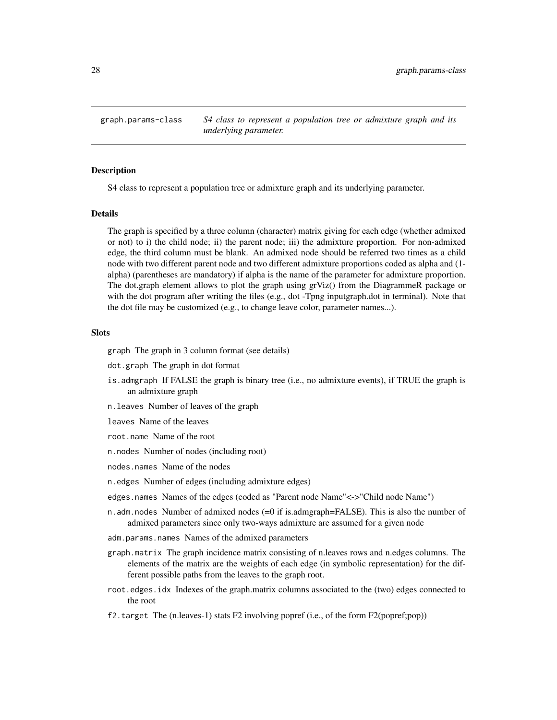<span id="page-27-0"></span>graph.params-class *S4 class to represent a population tree or admixture graph and its underlying parameter.*

#### **Description**

S4 class to represent a population tree or admixture graph and its underlying parameter.

#### Details

The graph is specified by a three column (character) matrix giving for each edge (whether admixed or not) to i) the child node; ii) the parent node; iii) the admixture proportion. For non-admixed edge, the third column must be blank. An admixed node should be referred two times as a child node with two different parent node and two different admixture proportions coded as alpha and (1 alpha) (parentheses are mandatory) if alpha is the name of the parameter for admixture proportion. The dot.graph element allows to plot the graph using grViz() from the DiagrammeR package or with the dot program after writing the files (e.g., dot -Tpng inputgraph.dot in terminal). Note that the dot file may be customized (e.g., to change leave color, parameter names...).

#### Slots

graph The graph in 3 column format (see details)

dot.graph The graph in dot format

- is.admgraph If FALSE the graph is binary tree (i.e., no admixture events), if TRUE the graph is an admixture graph
- n.leaves Number of leaves of the graph

leaves Name of the leaves

root.name Name of the root

n.nodes Number of nodes (including root)

nodes.names Name of the nodes

n.edges Number of edges (including admixture edges)

edges.names Names of the edges (coded as "Parent node Name"<->"Child node Name")

- n.adm.nodes Number of admixed nodes (=0 if is.admgraph=FALSE). This is also the number of admixed parameters since only two-ways admixture are assumed for a given node
- adm.params.names Names of the admixed parameters
- graph.matrix The graph incidence matrix consisting of n.leaves rows and n.edges columns. The elements of the matrix are the weights of each edge (in symbolic representation) for the different possible paths from the leaves to the graph root.
- root.edges.idx Indexes of the graph.matrix columns associated to the (two) edges connected to the root
- f2.target The (n.leaves-1) stats F2 involving popref (i.e., of the form F2(popref;pop))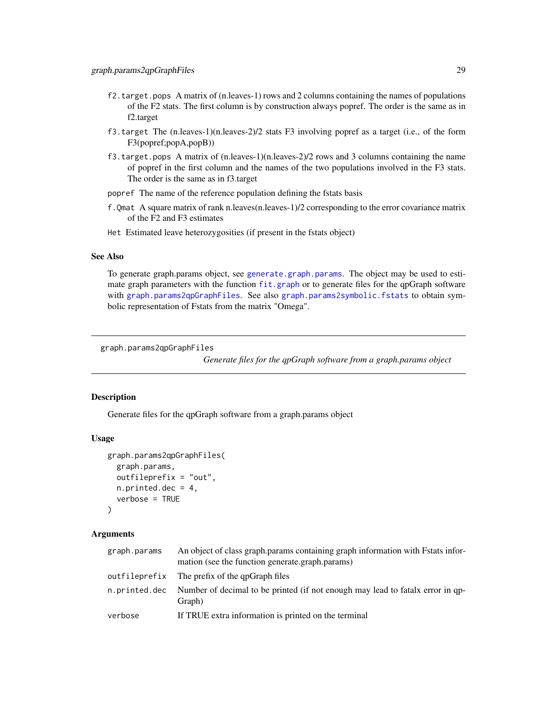- <span id="page-28-0"></span>f2.target.pops A matrix of (n.leaves-1) rows and 2 columns containing the names of populations of the F2 stats. The first column is by construction always popref. The order is the same as in f2.target
- f3.target The (n.leaves-1)(n.leaves-2)/2 stats F3 involving popref as a target (i.e., of the form F3(popref;popA,popB))
- f3.target.pops A matrix of  $(n.\text{leaves-1})(n.\text{leaves-2})/2$  rows and 3 columns containing the name of popref in the first column and the names of the two populations involved in the F3 stats. The order is the same as in f3.target
- popref The name of the reference population defining the fstats basis
- f.Qmat A square matrix of rank n.leaves(n.leaves-1)/2 corresponding to the error covariance matrix of the F2 and F3 estimates
- Het Estimated leave heterozygosities (if present in the fstats object)

#### See Also

To generate graph.params object, see [generate.graph.params](#page-17-1). The object may be used to estimate graph parameters with the function [fit.graph](#page-13-1) or to generate files for the qpGraph software with [graph.params2qpGraphFiles](#page-28-1). See also [graph.params2symbolic.fstats](#page-29-1) to obtain symbolic representation of Fstats from the matrix "Omega".

<span id="page-28-1"></span>graph.params2qpGraphFiles

*Generate files for the qpGraph software from a graph.params object*

#### **Description**

Generate files for the qpGraph software from a graph.params object

#### Usage

```
graph.params2qpGraphFiles(
  graph.params,
  outfileprefix = "out",
  n.printed.dec = 4,
  verbose = TRUE
\lambda
```
#### Arguments

| graph.params  | An object of class graph params containing graph information with Fstats infor-<br>mation (see the function generate.graph.params) |
|---------------|------------------------------------------------------------------------------------------------------------------------------------|
|               | outfileprefix The prefix of the gpGraph files                                                                                      |
| n.printed.dec | Number of decimal to be printed (if not enough may lead to fatalx error in qp-<br>Graph)                                           |
| verbose       | If TRUE extra information is printed on the terminal                                                                               |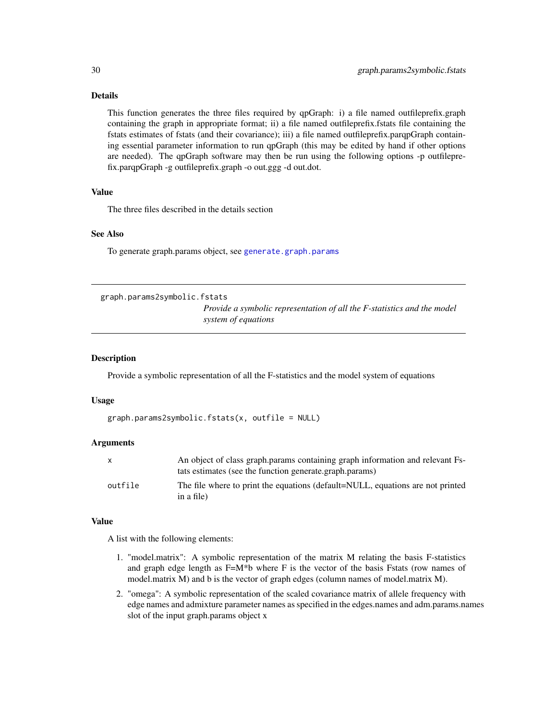# Details

This function generates the three files required by qpGraph: i) a file named outfileprefix.graph containing the graph in appropriate format; ii) a file named outfileprefix.fstats file containing the fstats estimates of fstats (and their covariance); iii) a file named outfileprefix.parqpGraph containing essential parameter information to run qpGraph (this may be edited by hand if other options are needed). The qpGraph software may then be run using the following options -p outfileprefix.parqpGraph -g outfileprefix.graph -o out.ggg -d out.dot.

# Value

The three files described in the details section

# See Also

To generate graph.params object, see [generate.graph.params](#page-17-1)

```
graph.params2symbolic.fstats
```
*Provide a symbolic representation of all the F-statistics and the model system of equations*

#### Description

Provide a symbolic representation of all the F-statistics and the model system of equations

#### Usage

```
graph.params2symbolic.fstats(x, outfile = NULL)
```
#### Arguments

|         | An object of class graph params containing graph information and relevant Fs-<br>tats estimates (see the function generate.graph.params) |
|---------|------------------------------------------------------------------------------------------------------------------------------------------|
| outfile | The file where to print the equations (default=NULL, equations are not printed<br>in a file)                                             |

#### Value

A list with the following elements:

- 1. "model.matrix": A symbolic representation of the matrix M relating the basis F-statistics and graph edge length as  $F=M^*b$  where F is the vector of the basis Fstats (row names of model.matrix M) and b is the vector of graph edges (column names of model.matrix M).
- 2. "omega": A symbolic representation of the scaled covariance matrix of allele frequency with edge names and admixture parameter names as specified in the edges.names and adm.params.names slot of the input graph.params object x

<span id="page-29-0"></span>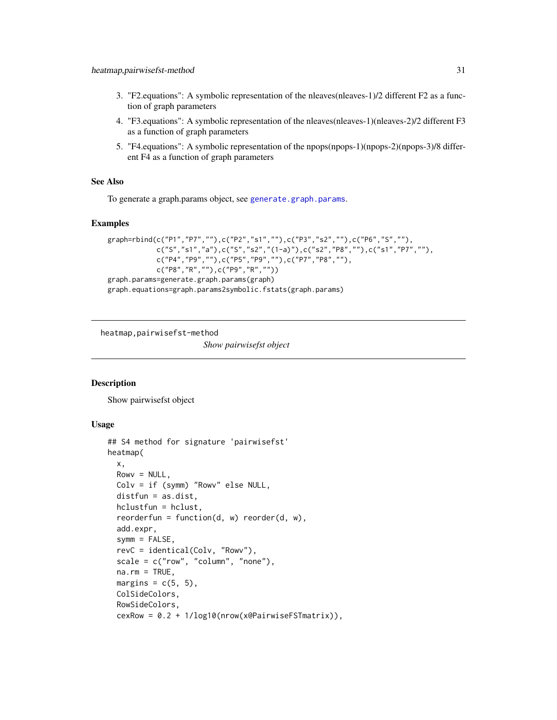- <span id="page-30-0"></span>3. "F2.equations": A symbolic representation of the nleaves(nleaves-1)/2 different F2 as a function of graph parameters
- 4. "F3.equations": A symbolic representation of the nleaves(nleaves-1)(nleaves-2)/2 different F3 as a function of graph parameters
- 5. "F4.equations": A symbolic representation of the npops(npops-1)(npops-2)(npops-3)/8 different F4 as a function of graph parameters

# See Also

To generate a graph.params object, see [generate.graph.params](#page-17-1).

### Examples

```
graph=rbind(c("P1","P7",""),c("P2","s1",""),c("P3","s2",""),c("P6","S",""),
           c("S","s1","a"),c("S","s2","(1-a)"),c("s2","P8",""),c("s1","P7",""),
           c("P4","P9",""),c("P5","P9",""),c("P7","P8",""),
           c("P8","R",""),c("P9","R",""))
graph.params=generate.graph.params(graph)
graph.equations=graph.params2symbolic.fstats(graph.params)
```
heatmap,pairwisefst-method

*Show pairwisefst object*

### Description

Show pairwisefst object

### Usage

```
## S4 method for signature 'pairwisefst'
heatmap(
 x,
 Rowv = NULL,Colv = if (symm) "Rowv" else NULL,
  distfun = as.dist,
 hclustfun = hclust,
  reorderfun = function(d, w) reorder(d, w),
  add.expr,
  symm = FALSE,revC = identical(Colv, "Rowv"),
  scale = c("row", "column", "none"),
  na.rm = TRUE,margins = c(5, 5),
 ColSideColors,
  RowSideColors,
  cexRow = 0.2 + 1/log10(nrow(x@PairwiseFSTmatrix)),
```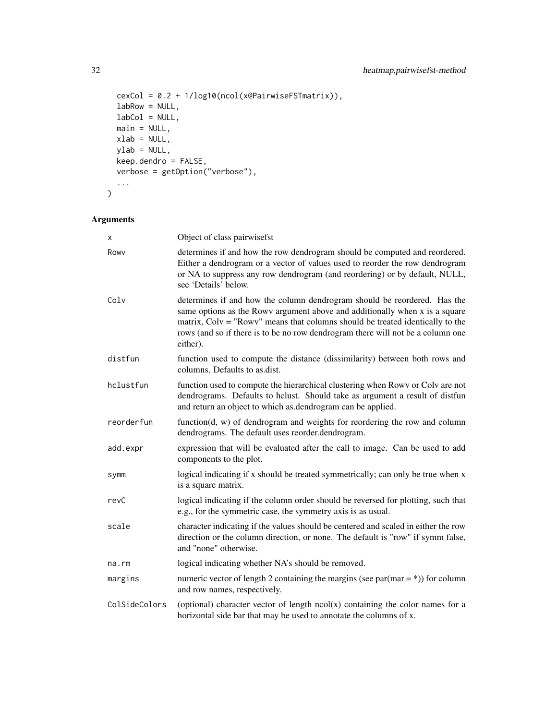```
cexCol = 0.2 + 1/log10(ncol(x@PairwiseFSTmatrix)),
labRow = NULL,
labCol = NULL,main = NULL,xlab = NULL,
ylab = NULL,
keep.dendro = FALSE,
verbose = getOption("verbose"),
...
```
# Arguments

 $\mathcal{L}$ 

| x             | Object of class pairwisefst                                                                                                                                                                                                                                                                                                               |
|---------------|-------------------------------------------------------------------------------------------------------------------------------------------------------------------------------------------------------------------------------------------------------------------------------------------------------------------------------------------|
| Rowy          | determines if and how the row dendrogram should be computed and reordered.<br>Either a dendrogram or a vector of values used to reorder the row dendrogram<br>or NA to suppress any row dendrogram (and reordering) or by default, NULL,<br>see 'Details' below.                                                                          |
| Colv          | determines if and how the column dendrogram should be reordered. Has the<br>same options as the Rowy argument above and additionally when x is a square<br>matrix, $Colv = "Rowv"$ means that columns should be treated identically to the<br>rows (and so if there is to be no row dendrogram there will not be a column one<br>either). |
| distfun       | function used to compute the distance (dissimilarity) between both rows and<br>columns. Defaults to as.dist.                                                                                                                                                                                                                              |
| hclustfun     | function used to compute the hierarchical clustering when Rowy or Colv are not<br>dendrograms. Defaults to hclust. Should take as argument a result of distfun<br>and return an object to which as dendrogram can be applied.                                                                                                             |
| reorderfun    | function $(d, w)$ of dendrogram and weights for reordering the row and column<br>dendrograms. The default uses reorder.dendrogram.                                                                                                                                                                                                        |
| add.expr      | expression that will be evaluated after the call to image. Can be used to add<br>components to the plot.                                                                                                                                                                                                                                  |
| symm          | logical indicating if x should be treated symmetrically; can only be true when x<br>is a square matrix.                                                                                                                                                                                                                                   |
| revC          | logical indicating if the column order should be reversed for plotting, such that<br>e.g., for the symmetric case, the symmetry axis is as usual.                                                                                                                                                                                         |
| scale         | character indicating if the values should be centered and scaled in either the row<br>direction or the column direction, or none. The default is "row" if symm false,<br>and "none" otherwise.                                                                                                                                            |
| na.rm         | logical indicating whether NA's should be removed.                                                                                                                                                                                                                                                                                        |
| margins       | numeric vector of length 2 containing the margins (see par(mar = $\ast$ )) for column<br>and row names, respectively.                                                                                                                                                                                                                     |
| ColSideColors | (optional) character vector of length $ncol(x)$ containing the color names for a<br>horizontal side bar that may be used to annotate the columns of x.                                                                                                                                                                                    |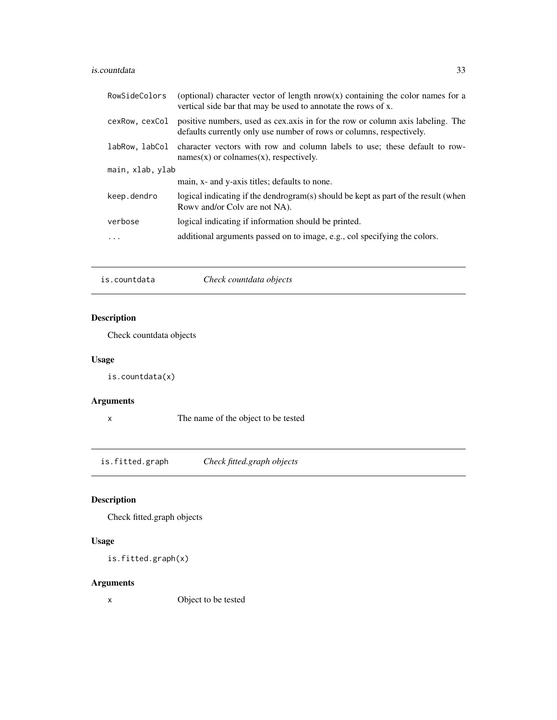#### <span id="page-32-0"></span>is.countdata 33

| (optional) character vector of length $nrow(x)$ containing the color names for a<br>vertical side bar that may be used to annotate the rows of x.       |
|---------------------------------------------------------------------------------------------------------------------------------------------------------|
| positive numbers, used as cex. axis in for the row or column axis labeling. The<br>defaults currently only use number of rows or columns, respectively. |
| character vectors with row and column labels to use; these default to row-<br>$names(x)$ or colnames $(x)$ , respectively.                              |
| main, xlab, ylab                                                                                                                                        |
| main, x- and y-axis titles; defaults to none.                                                                                                           |
| logical indicating if the dendrogram(s) should be kept as part of the result (when<br>Rowy and/or Colv are not NA).                                     |
| logical indicating if information should be printed.                                                                                                    |
| additional arguments passed on to image, e.g., col specifying the colors.                                                                               |
|                                                                                                                                                         |

# is.countdata *Check countdata objects*

# Description

Check countdata objects

# Usage

is.countdata(x)

# Arguments

x The name of the object to be tested

is.fitted.graph *Check fitted.graph objects*

# Description

Check fitted.graph objects

# Usage

```
is.fitted.graph(x)
```
# Arguments

x Object to be tested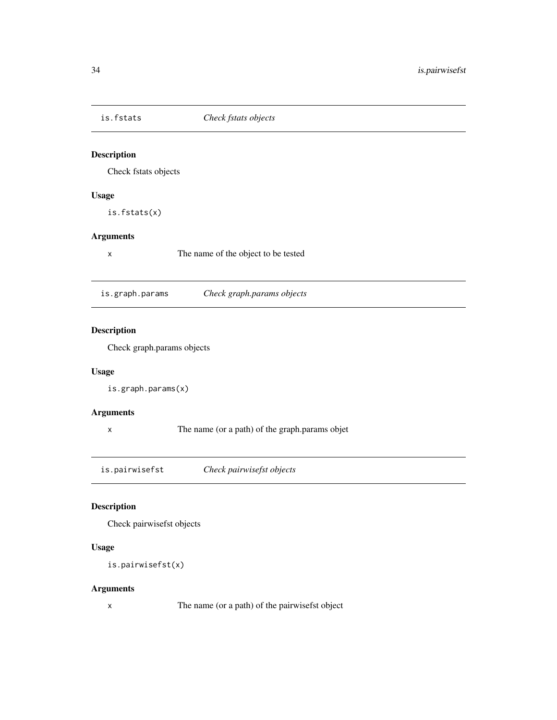<span id="page-33-0"></span>

Check fstats objects

# Usage

is.fstats(x)

# Arguments

x The name of the object to be tested

is.graph.params *Check graph.params objects*

# Description

Check graph.params objects

# Usage

is.graph.params(x)

# Arguments

x The name (or a path) of the graph.params objet

is.pairwisefst *Check pairwisefst objects*

# Description

Check pairwisefst objects

# Usage

```
is.pairwisefst(x)
```
### Arguments

x The name (or a path) of the pairwisefst object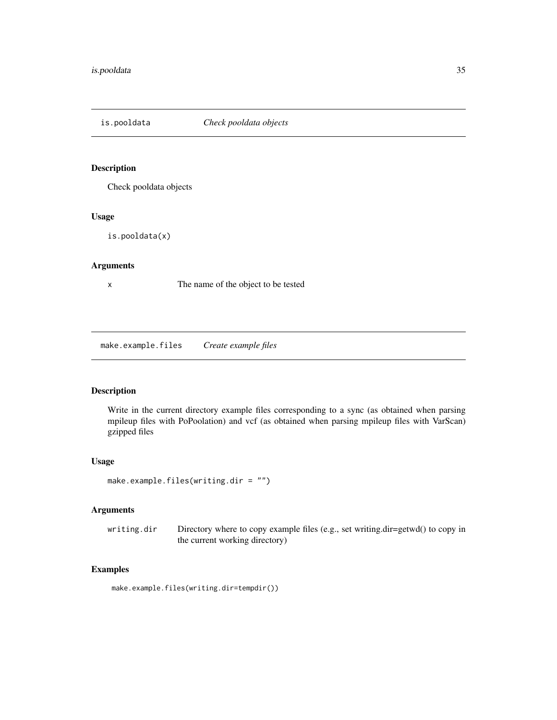<span id="page-34-0"></span>

Check pooldata objects

### Usage

is.pooldata(x)

# Arguments

x The name of the object to be tested

make.example.files *Create example files*

# Description

Write in the current directory example files corresponding to a sync (as obtained when parsing mpileup files with PoPoolation) and vcf (as obtained when parsing mpileup files with VarScan) gzipped files

# Usage

```
make.example.files(writing.dir = "")
```
# Arguments

writing.dir Directory where to copy example files (e.g., set writing.dir=getwd() to copy in the current working directory)

# Examples

make.example.files(writing.dir=tempdir())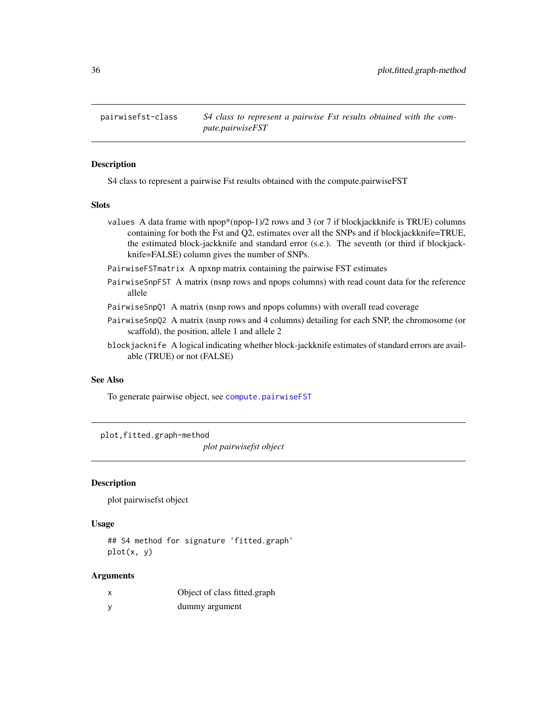<span id="page-35-0"></span>

S4 class to represent a pairwise Fst results obtained with the compute.pairwiseFST

# Slots

- values A data frame with  $npop*(npop-1)/2$  rows and 3 (or 7 if blockjackknife is TRUE) columns containing for both the Fst and Q2, estimates over all the SNPs and if blockjackknife=TRUE, the estimated block-jackknife and standard error (s.e.). The seventh (or third if blockjackknife=FALSE) column gives the number of SNPs.
- PairwiseFSTmatrix A npxnp matrix containing the pairwise FST estimates
- PairwiseSnpFST A matrix (nsnp rows and npops columns) with read count data for the reference allele
- PairwiseSnpQ1 A matrix (nsnp rows and npops columns) with overall read coverage
- PairwiseSnpQ2 A matrix (nsnp rows and 4 columns) detailing for each SNP, the chromosome (or scaffold), the position, allele 1 and allele 2
- blockjacknife A logical indicating whether block-jackknife estimates of standard errors are available (TRUE) or not (FALSE)

# See Also

To generate pairwise object, see [compute.pairwiseFST](#page-6-1)

plot,fitted.graph-method

*plot pairwisefst object*

#### Description

plot pairwisefst object

# Usage

## S4 method for signature 'fitted.graph'  $plot(x, y)$ 

#### Arguments

| Object of class fitted.graph |
|------------------------------|
| dummy argument               |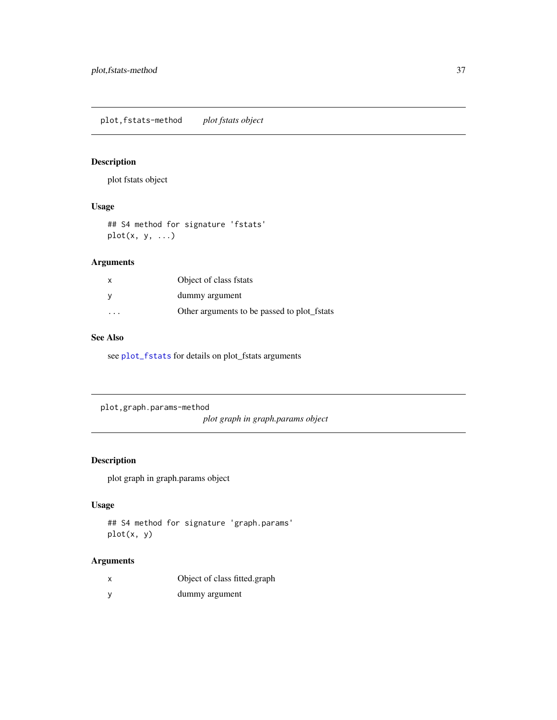<span id="page-36-0"></span>plot,fstats-method *plot fstats object*

# Description

plot fstats object

# Usage

## S4 method for signature 'fstats' plot(x, y, ...)

# Arguments

| X        | Object of class fstats                      |
|----------|---------------------------------------------|
| <b>V</b> | dummy argument                              |
| .        | Other arguments to be passed to plot fstats |

# See Also

see [plot\\_fstats](#page-37-1) for details on plot\_fstats arguments

plot,graph.params-method

*plot graph in graph.params object*

# Description

plot graph in graph.params object

# Usage

```
## S4 method for signature 'graph.params'
plot(x, y)
```
# Arguments

| Object of class fitted.graph |
|------------------------------|
| dummy argument               |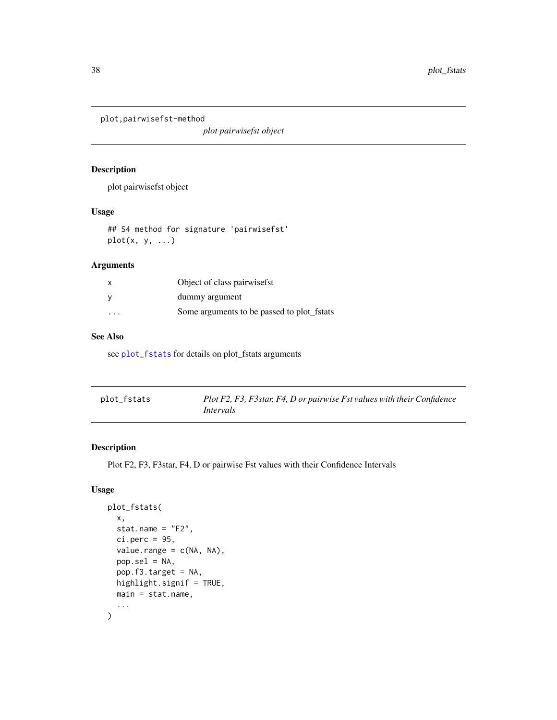<span id="page-37-0"></span>plot,pairwisefst-method

*plot pairwisefst object*

# Description

plot pairwisefst object

# Usage

## S4 method for signature 'pairwisefst'  $plot(x, y, ...)$ 

# Arguments

| $\mathsf{x}$ | Object of class pairwisefst                |
|--------------|--------------------------------------------|
| <b>V</b>     | dummy argument                             |
| .            | Some arguments to be passed to plot fstats |

# See Also

see [plot\\_fstats](#page-37-1) for details on plot\_fstats arguments

<span id="page-37-1"></span>

| plot_fstats | Plot F2, F3, F3star, F4, D or pairwise Fst values with their Confidence |
|-------------|-------------------------------------------------------------------------|
|             | Intervals                                                               |

# Description

Plot F2, F3, F3star, F4, D or pairwise Fst values with their Confidence Intervals

#### Usage

```
plot_fstats(
  x,
  stat.name = "F2",
 ci.perc = 95,value.random = c(NA, NA),pop.set1 = NA,
 pop.f3.target = NA,
 highlight.signif = TRUE,
 main = stat.name,
  ...
\mathcal{L}
```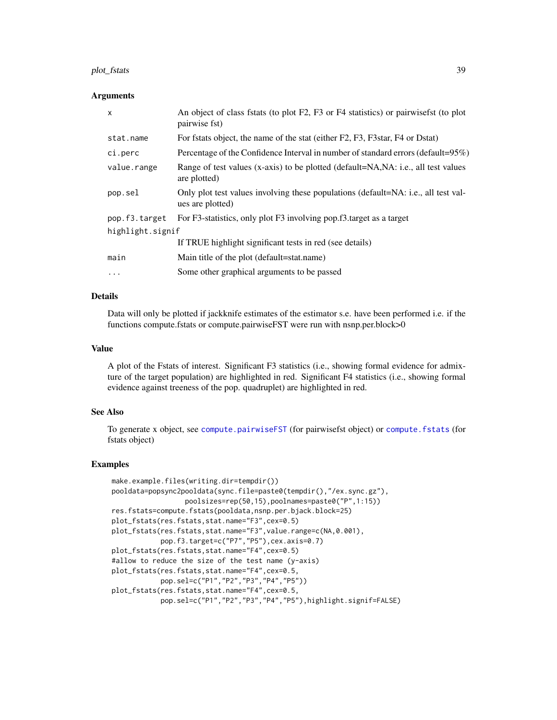#### <span id="page-38-0"></span>plot\_fstats 39

#### Arguments

| $\mathsf{x}$     | An object of class fstats (to plot F2, F3 or F4 statistics) or pairwisefst (to plot<br>pairwise fst)   |  |
|------------------|--------------------------------------------------------------------------------------------------------|--|
| stat.name        | For fstats object, the name of the stat (either F2, F3, F3star, F4 or Dstat)                           |  |
| ci.perc          | Percentage of the Confidence Interval in number of standard errors (default=95%)                       |  |
| value.range      | Range of test values (x-axis) to be plotted (default=NA, NA: i.e., all test values<br>are plotted)     |  |
| pop.sel          | Only plot test values involving these populations (default=NA: i.e., all test val-<br>ues are plotted) |  |
| pop.f3.target    | For F3-statistics, only plot F3 involving pop.f3.target as a target                                    |  |
| highlight.signif |                                                                                                        |  |
|                  | If TRUE highlight significant tests in red (see details)                                               |  |
| main             | Main title of the plot (default=stat.name)                                                             |  |
| $\ddotsc$        | Some other graphical arguments to be passed                                                            |  |

# Details

Data will only be plotted if jackknife estimates of the estimator s.e. have been performed i.e. if the functions compute.fstats or compute.pairwiseFST were run with nsnp.per.block>0

#### Value

A plot of the Fstats of interest. Significant F3 statistics (i.e., showing formal evidence for admixture of the target population) are highlighted in red. Significant F4 statistics (i.e., showing formal evidence against treeness of the pop. quadruplet) are highlighted in red.

### See Also

To generate x object, see [compute.pairwiseFST](#page-6-1) (for pairwisefst object) or [compute.fstats](#page-5-1) (for fstats object)

#### Examples

```
make.example.files(writing.dir=tempdir())
pooldata=popsync2pooldata(sync.file=paste0(tempdir(),"/ex.sync.gz"),
                  poolsizes=rep(50,15),poolnames=paste0("P",1:15))
res.fstats=compute.fstats(pooldata,nsnp.per.bjack.block=25)
plot_fstats(res.fstats,stat.name="F3",cex=0.5)
plot_fstats(res.fstats,stat.name="F3",value.range=c(NA,0.001),
            pop.f3.target=c("P7","P5"),cex.axis=0.7)
plot_fstats(res.fstats,stat.name="F4",cex=0.5)
#allow to reduce the size of the test name (y-axis)
plot_fstats(res.fstats,stat.name="F4",cex=0.5,
            pop.sel=c("P1","P2","P3","P4","P5"))
plot_fstats(res.fstats,stat.name="F4",cex=0.5,
            pop.sel=c("P1","P2","P3","P4","P5"),highlight.signif=FALSE)
```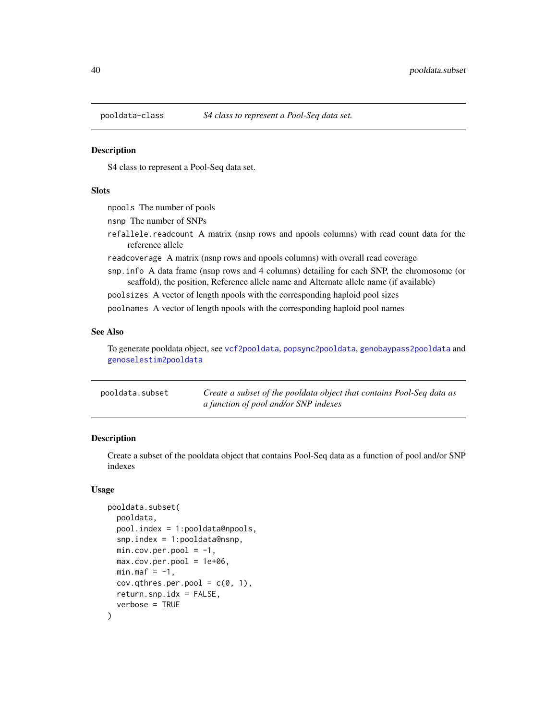<span id="page-39-0"></span>

S4 class to represent a Pool-Seq data set.

# Slots

npools The number of pools

nsnp The number of SNPs

refallele.readcount A matrix (nsnp rows and npools columns) with read count data for the reference allele

readcoverage A matrix (nsnp rows and npools columns) with overall read coverage

snp.info A data frame (nsnp rows and 4 columns) detailing for each SNP, the chromosome (or scaffold), the position, Reference allele name and Alternate allele name (if available)

poolsizes A vector of length npools with the corresponding haploid pool sizes

poolnames A vector of length npools with the corresponding haploid pool names

# See Also

To generate pooldata object, see [vcf2pooldata](#page-50-1), [popsync2pooldata](#page-44-1), [genobaypass2pooldata](#page-21-1) and [genoselestim2pooldata](#page-22-1)

| pooldata.subset | Create a subset of the pooldata object that contains Pool-Seq data as |
|-----------------|-----------------------------------------------------------------------|
|                 | a function of pool and/or SNP indexes                                 |

# Description

Create a subset of the pooldata object that contains Pool-Seq data as a function of pool and/or SNP indexes

#### Usage

```
pooldata.subset(
  pooldata,
  pool.index = 1:pooldata@npools,
  snp.index = 1:pooldata@nsnp,
  min.cov.per.pool = -1,
  max.cov.per.pool = 1e+06,
  min.max = -1,
  cov.qthres.per.pool = c(0, 1),return.snp.idx = FALSE,
  verbose = TRUE
)
```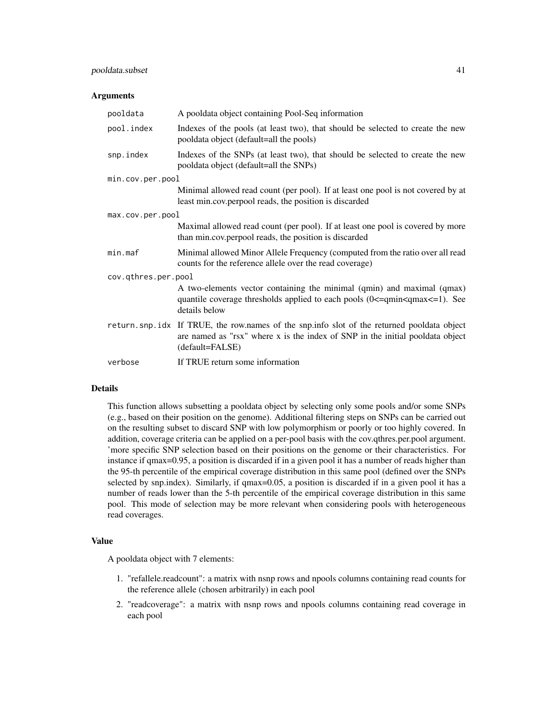# pooldata.subset 41

#### **Arguments**

| pooldata            | A pooldata object containing Pool-Seq information                                                                                                                                              |  |
|---------------------|------------------------------------------------------------------------------------------------------------------------------------------------------------------------------------------------|--|
| pool.index          | Indexes of the pools (at least two), that should be selected to create the new<br>pooldata object (default=all the pools)                                                                      |  |
| snp.index           | Indexes of the SNPs (at least two), that should be selected to create the new<br>pooldata object (default=all the SNPs)                                                                        |  |
| min.cov.per.pool    |                                                                                                                                                                                                |  |
|                     | Minimal allowed read count (per pool). If at least one pool is not covered by at<br>least min.cov.perpool reads, the position is discarded                                                     |  |
| max.cov.per.pool    |                                                                                                                                                                                                |  |
|                     | Maximal allowed read count (per pool). If at least one pool is covered by more<br>than min.cov.perpool reads, the position is discarded                                                        |  |
| min.maf             | Minimal allowed Minor Allele Frequency (computed from the ratio over all read<br>counts for the reference allele over the read coverage)                                                       |  |
| cov.qthres.per.pool |                                                                                                                                                                                                |  |
|                     | A two-elements vector containing the minimal (qmin) and maximal (qmax)<br>quantile coverage thresholds applied to each pools $(0 \leq = qmin \leq qmax \leq = 1)$ . See<br>details below       |  |
|                     | return snp idx If TRUE, the row names of the snp info slot of the returned pooldata object<br>are named as "rsx" where x is the index of SNP in the initial pooldata object<br>(default=FALSE) |  |
| verbose             | If TRUE return some information                                                                                                                                                                |  |

#### Details

This function allows subsetting a pooldata object by selecting only some pools and/or some SNPs (e.g., based on their position on the genome). Additional filtering steps on SNPs can be carried out on the resulting subset to discard SNP with low polymorphism or poorly or too highly covered. In addition, coverage criteria can be applied on a per-pool basis with the cov.qthres.per.pool argument. 'more specific SNP selection based on their positions on the genome or their characteristics. For instance if qmax=0.95, a position is discarded if in a given pool it has a number of reads higher than the 95-th percentile of the empirical coverage distribution in this same pool (defined over the SNPs selected by snp.index). Similarly, if qmax=0.05, a position is discarded if in a given pool it has a number of reads lower than the 5-th percentile of the empirical coverage distribution in this same pool. This mode of selection may be more relevant when considering pools with heterogeneous read coverages.

# Value

A pooldata object with 7 elements:

- 1. "refallele.readcount": a matrix with nsnp rows and npools columns containing read counts for the reference allele (chosen arbitrarily) in each pool
- 2. "readcoverage": a matrix with nsnp rows and npools columns containing read coverage in each pool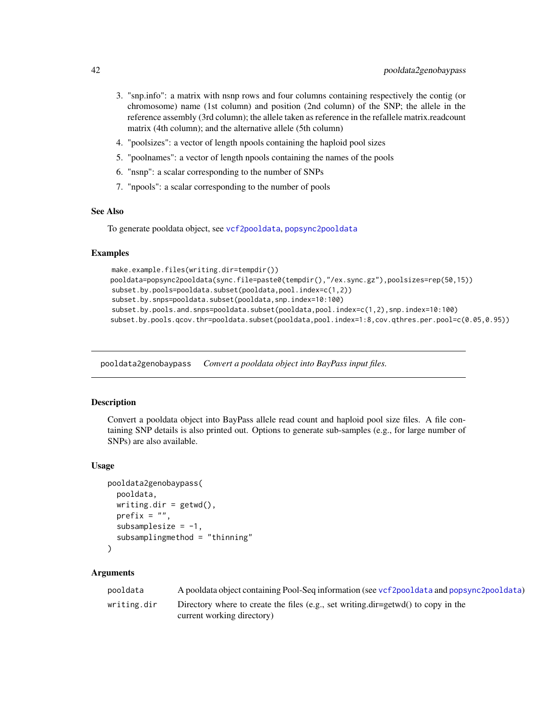- <span id="page-41-0"></span>3. "snp.info": a matrix with nsnp rows and four columns containing respectively the contig (or chromosome) name (1st column) and position (2nd column) of the SNP; the allele in the reference assembly (3rd column); the allele taken as reference in the refallele matrix.readcount matrix (4th column); and the alternative allele (5th column)
- 4. "poolsizes": a vector of length npools containing the haploid pool sizes
- 5. "poolnames": a vector of length npools containing the names of the pools
- 6. "nsnp": a scalar corresponding to the number of SNPs
- 7. "npools": a scalar corresponding to the number of pools

#### See Also

To generate pooldata object, see [vcf2pooldata](#page-50-1), [popsync2pooldata](#page-44-1)

### Examples

```
make.example.files(writing.dir=tempdir())
pooldata=popsync2pooldata(sync.file=paste0(tempdir(),"/ex.sync.gz"),poolsizes=rep(50,15))
subset.by.pools=pooldata.subset(pooldata,pool.index=c(1,2))
subset.by.snps=pooldata.subset(pooldata,snp.index=10:100)
subset.by.pools.and.snps=pooldata.subset(pooldata,pool.index=c(1,2),snp.index=10:100)
subset.by.pools.qcov.thr=pooldata.subset(pooldata,pool.index=1:8,cov.qthres.per.pool=c(0.05,0.95))
```
pooldata2genobaypass *Convert a pooldata object into BayPass input files.*

#### Description

Convert a pooldata object into BayPass allele read count and haploid pool size files. A file containing SNP details is also printed out. Options to generate sub-samples (e.g., for large number of SNPs) are also available.

# Usage

```
pooldata2genobaypass(
  pooldata,
 writing.dir = getwd(),
 prefix = ",
  subsamplesize = -1,
  subsamplingmethod = "thinning"
)
```
#### Arguments

| pooldata    | A pooldata object containing Pool-Seq information (see vcf2pooldata and popsync2pooldata) |
|-------------|-------------------------------------------------------------------------------------------|
| writing.dir | Directory where to create the files (e.g., set writing.dir=getwd() to copy in the         |
|             | current working directory)                                                                |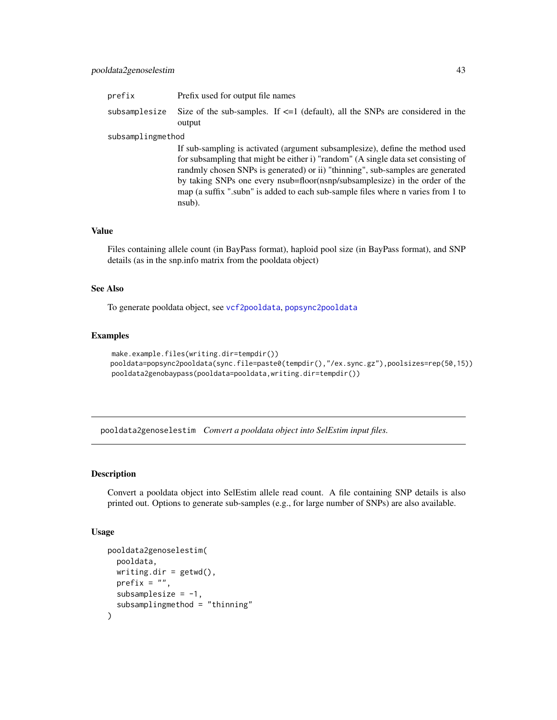# <span id="page-42-0"></span>pooldata2genoselestim 43

| prefix            | Prefix used for output file names                                                                                                                                                                                                                                                                                                                                                                                                  |
|-------------------|------------------------------------------------------------------------------------------------------------------------------------------------------------------------------------------------------------------------------------------------------------------------------------------------------------------------------------------------------------------------------------------------------------------------------------|
| subsamplesize     | Size of the sub-samples. If $\leq 1$ (default), all the SNPs are considered in the<br>output                                                                                                                                                                                                                                                                                                                                       |
| subsamplingmethod |                                                                                                                                                                                                                                                                                                                                                                                                                                    |
|                   | If sub-sampling is activated (argument subsamplesize), define the method used<br>for subsampling that might be either i) "random" (A single data set consisting of<br>randmly chosen SNPs is generated) or ii) "thinning", sub-samples are generated<br>by taking SNPs one every nsub=floor(nsnp/subsamplesize) in the order of the<br>map (a suffix ", subn" is added to each sub-sample files where n varies from 1 to<br>nsub). |

### Value

Files containing allele count (in BayPass format), haploid pool size (in BayPass format), and SNP details (as in the snp.info matrix from the pooldata object)

#### See Also

To generate pooldata object, see [vcf2pooldata](#page-50-1), [popsync2pooldata](#page-44-1)

### Examples

```
make.example.files(writing.dir=tempdir())
pooldata=popsync2pooldata(sync.file=paste0(tempdir(),"/ex.sync.gz"),poolsizes=rep(50,15))
pooldata2genobaypass(pooldata=pooldata,writing.dir=tempdir())
```
pooldata2genoselestim *Convert a pooldata object into SelEstim input files.*

### Description

Convert a pooldata object into SelEstim allele read count. A file containing SNP details is also printed out. Options to generate sub-samples (e.g., for large number of SNPs) are also available.

#### Usage

```
pooldata2genoselestim(
 pooldata,
 writing.dim = getwd(),prefix = ".
  subsamplesize = -1,
  subsamplingmethod = "thinning"
)
```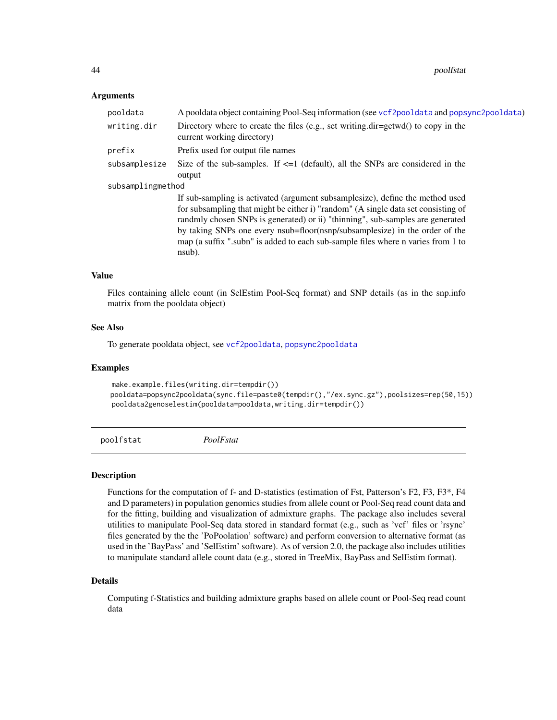#### <span id="page-43-0"></span>Arguments

| A pooldata object containing Pool-Seq information (see vcf2pooldata and popsync2pooldata)                       |
|-----------------------------------------------------------------------------------------------------------------|
| Directory where to create the files (e.g., set writing.dir=getwd() to copy in the<br>current working directory) |
| Prefix used for output file names                                                                               |
| Size of the sub-samples. If $\leq 1$ (default), all the SNPs are considered in the<br>output                    |
| subsamplingmethod                                                                                               |
| If sub-sampling is activated (argument subsamplesize), define the method used                                   |
| for subsampling that might be either i) "random" (A single data set consisting of                               |
| randmly chosen SNPs is generated) or ii) "thinning", sub-samples are generated                                  |
| by taking SNPs one every nsub=floor(nsnp/subsamplesize) in the order of the                                     |
| map (a suffix "subn" is added to each sub-sample files where n varies from 1 to                                 |
| nsub).                                                                                                          |
|                                                                                                                 |

# Value

Files containing allele count (in SelEstim Pool-Seq format) and SNP details (as in the snp.info matrix from the pooldata object)

#### See Also

To generate pooldata object, see [vcf2pooldata](#page-50-1), [popsync2pooldata](#page-44-1)

#### Examples

```
make.example.files(writing.dir=tempdir())
pooldata=popsync2pooldata(sync.file=paste0(tempdir(),"/ex.sync.gz"),poolsizes=rep(50,15))
pooldata2genoselestim(pooldata=pooldata,writing.dir=tempdir())
```
poolfstat *PoolFstat*

#### Description

Functions for the computation of f- and D-statistics (estimation of Fst, Patterson's F2, F3, F3\*, F4 and D parameters) in population genomics studies from allele count or Pool-Seq read count data and for the fitting, building and visualization of admixture graphs. The package also includes several utilities to manipulate Pool-Seq data stored in standard format (e.g., such as 'vcf' files or 'rsync' files generated by the the 'PoPoolation' software) and perform conversion to alternative format (as used in the 'BayPass' and 'SelEstim' software). As of version 2.0, the package also includes utilities to manipulate standard allele count data (e.g., stored in TreeMix, BayPass and SelEstim format).

# Details

Computing f-Statistics and building admixture graphs based on allele count or Pool-Seq read count data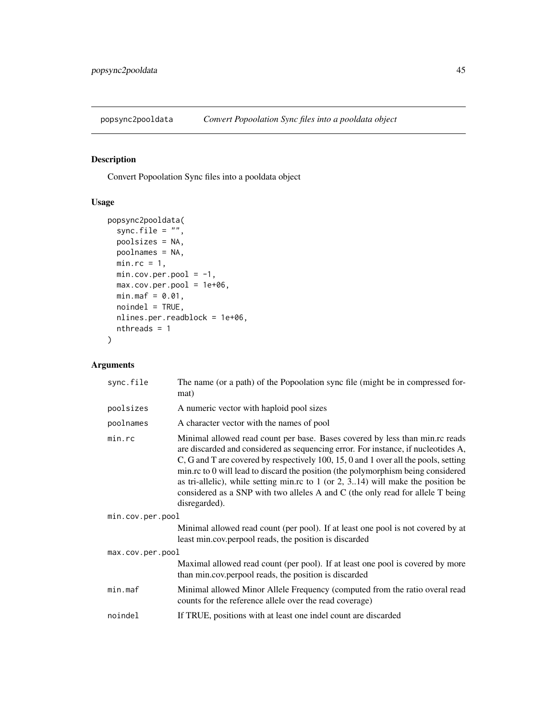<span id="page-44-1"></span><span id="page-44-0"></span>

Convert Popoolation Sync files into a pooldata object

# Usage

```
popsync2pooldata(
 sync.file = ",
 poolsizes = NA,
 poolnames = NA,
 min.rc = 1,
 min.cov.per.pool = -1,
 max.cov.per.pool = 1e+06,
 min.max = 0.01,noindel = TRUE,
 nlines.per.readblock = 1e+06,
 nthreads = 1
)
```
# Arguments

| sync.file        | The name (or a path) of the Popoolation sync file (might be in compressed for-<br>mat)                                                                                                                                                                                                                                                                                                                                                                                                                                                      |  |  |
|------------------|---------------------------------------------------------------------------------------------------------------------------------------------------------------------------------------------------------------------------------------------------------------------------------------------------------------------------------------------------------------------------------------------------------------------------------------------------------------------------------------------------------------------------------------------|--|--|
| poolsizes        | A numeric vector with haploid pool sizes                                                                                                                                                                                                                                                                                                                                                                                                                                                                                                    |  |  |
| poolnames        | A character vector with the names of pool                                                                                                                                                                                                                                                                                                                                                                                                                                                                                                   |  |  |
| min, rc          | Minimal allowed read count per base. Bases covered by less than min.rc reads<br>are discarded and considered as sequencing error. For instance, if nucleotides A,<br>C, G and T are covered by respectively 100, 15, 0 and 1 over all the pools, setting<br>min.rc to 0 will lead to discard the position (the polymorphism being considered<br>as tri-allelic), while setting min.rc to $1$ (or $2$ , $314$ ) will make the position be<br>considered as a SNP with two alleles A and C (the only read for allele T being<br>disregarded). |  |  |
| min.cov.per.pool |                                                                                                                                                                                                                                                                                                                                                                                                                                                                                                                                             |  |  |
|                  | Minimal allowed read count (per pool). If at least one pool is not covered by at<br>least min.cov.perpool reads, the position is discarded                                                                                                                                                                                                                                                                                                                                                                                                  |  |  |
| max.cov.per.pool |                                                                                                                                                                                                                                                                                                                                                                                                                                                                                                                                             |  |  |
|                  | Maximal allowed read count (per pool). If at least one pool is covered by more<br>than min.cov.perpool reads, the position is discarded                                                                                                                                                                                                                                                                                                                                                                                                     |  |  |
| min.maf          | Minimal allowed Minor Allele Frequency (computed from the ratio overal read<br>counts for the reference allele over the read coverage)                                                                                                                                                                                                                                                                                                                                                                                                      |  |  |
| noindel          | If TRUE, positions with at least one indel count are discarded                                                                                                                                                                                                                                                                                                                                                                                                                                                                              |  |  |
|                  |                                                                                                                                                                                                                                                                                                                                                                                                                                                                                                                                             |  |  |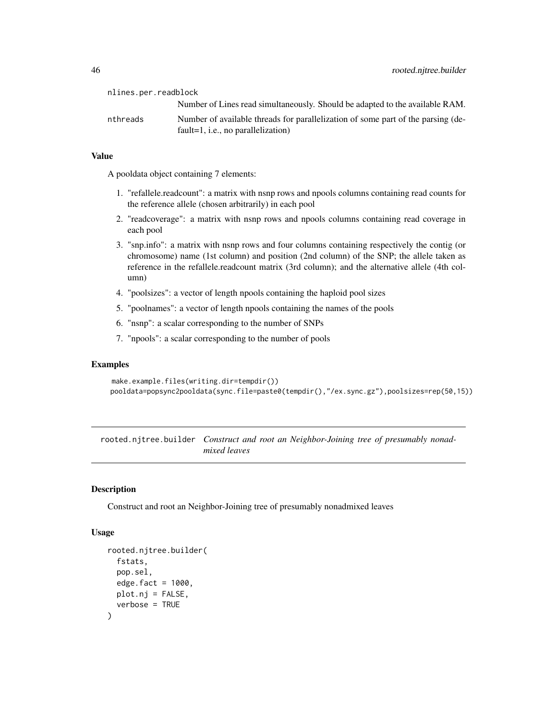<span id="page-45-0"></span>nlines.per.readblock Number of Lines read simultaneously. Should be adapted to the available RAM. nthreads Number of available threads for parallelization of some part of the parsing (default=1, i.e., no parallelization)

# Value

A pooldata object containing 7 elements:

- 1. "refallele.readcount": a matrix with nsnp rows and npools columns containing read counts for the reference allele (chosen arbitrarily) in each pool
- 2. "readcoverage": a matrix with nsnp rows and npools columns containing read coverage in each pool
- 3. "snp.info": a matrix with nsnp rows and four columns containing respectively the contig (or chromosome) name (1st column) and position (2nd column) of the SNP; the allele taken as reference in the refallele.readcount matrix (3rd column); and the alternative allele (4th column)
- 4. "poolsizes": a vector of length npools containing the haploid pool sizes
- 5. "poolnames": a vector of length npools containing the names of the pools
- 6. "nsnp": a scalar corresponding to the number of SNPs
- 7. "npools": a scalar corresponding to the number of pools

#### Examples

```
make.example.files(writing.dir=tempdir())
pooldata=popsync2pooldata(sync.file=paste0(tempdir(),"/ex.sync.gz"),poolsizes=rep(50,15))
```
rooted.njtree.builder *Construct and root an Neighbor-Joining tree of presumably nonadmixed leaves*

# Description

Construct and root an Neighbor-Joining tree of presumably nonadmixed leaves

#### Usage

```
rooted.njtree.builder(
  fstats,
  pop.sel,
  edge.fact = 1000,
 plot.nj = FALSE,
  verbose = TRUE
)
```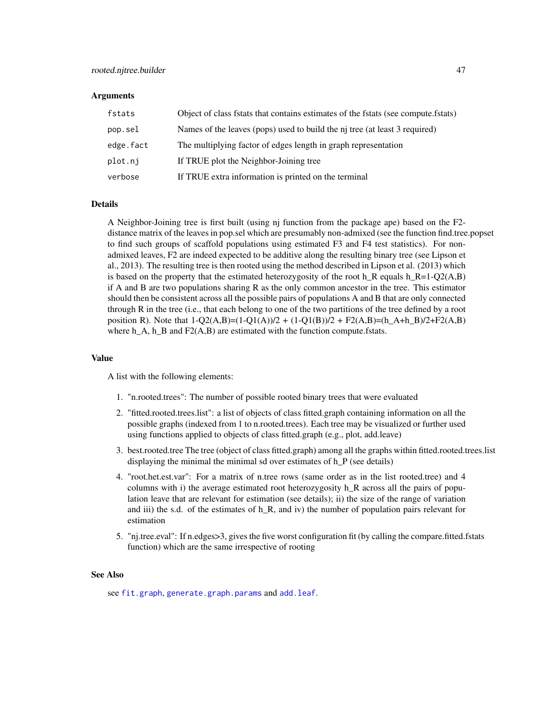#### <span id="page-46-0"></span>**Arguments**

| fstats    | Object of class fstats that contains estimates of the fstats (see compute fstats) |
|-----------|-----------------------------------------------------------------------------------|
| pop.sel   | Names of the leaves (pops) used to build the nj tree (at least 3 required)        |
| edge.fact | The multiplying factor of edges length in graph representation                    |
| plot.ni   | If TRUE plot the Neighbor-Joining tree                                            |
| verbose   | If TRUE extra information is printed on the terminal                              |

### Details

A Neighbor-Joining tree is first built (using nj function from the package ape) based on the F2 distance matrix of the leaves in pop.sel which are presumably non-admixed (see the function find.tree.popset to find such groups of scaffold populations using estimated F3 and F4 test statistics). For nonadmixed leaves, F2 are indeed expected to be additive along the resulting binary tree (see Lipson et al., 2013). The resulting tree is then rooted using the method described in Lipson et al. (2013) which is based on the property that the estimated heterozygosity of the root h\_R equals h\_R=1-Q2(A,B) if A and B are two populations sharing R as the only common ancestor in the tree. This estimator should then be consistent across all the possible pairs of populations A and B that are only connected through R in the tree (i.e., that each belong to one of the two partitions of the tree defined by a root position R). Note that  $1-Q(2(A,B)=(1-Q1(A))/2 + (1-Q1(B))/2 + F2(A,B)=(h_A+h_B)/2 + F2(A,B)$ where  $h_A$ ,  $h_B$  and  $F_2(A,B)$  are estimated with the function compute.fstats.

#### Value

A list with the following elements:

- 1. "n.rooted.trees": The number of possible rooted binary trees that were evaluated
- 2. "fitted.rooted.trees.list": a list of objects of class fitted.graph containing information on all the possible graphs (indexed from 1 to n.rooted.trees). Each tree may be visualized or further used using functions applied to objects of class fitted.graph (e.g., plot, add.leave)
- 3. best.rooted.tree The tree (object of class fitted.graph) among all the graphs within fitted.rooted.trees.list displaying the minimal the minimal sd over estimates of h P (see details)
- 4. "root.het.est.var": For a matrix of n.tree rows (same order as in the list rooted.tree) and 4 columns with i) the average estimated root heterozygosity h\_R across all the pairs of population leave that are relevant for estimation (see details); ii) the size of the range of variation and iii) the s.d. of the estimates of h<sub>R</sub>, and iv) the number of population pairs relevant for estimation
- 5. "nj.tree.eval": If n.edges>3, gives the five worst configuration fit (by calling the compare.fitted.fstats function) which are the same irrespective of rooting

# See Also

see [fit.graph](#page-13-1), [generate.graph.params](#page-17-1) and [add.leaf](#page-2-1).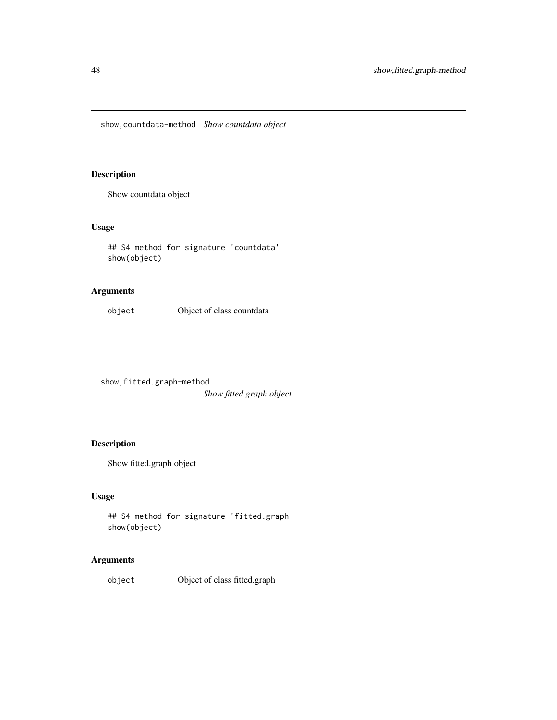<span id="page-47-0"></span>show,countdata-method *Show countdata object*

# Description

Show countdata object

# Usage

## S4 method for signature 'countdata' show(object)

# Arguments

object Object of class countdata

show,fitted.graph-method *Show fitted.graph object*

# Description

Show fitted.graph object

# Usage

```
## S4 method for signature 'fitted.graph'
show(object)
```
# Arguments

object Object of class fitted.graph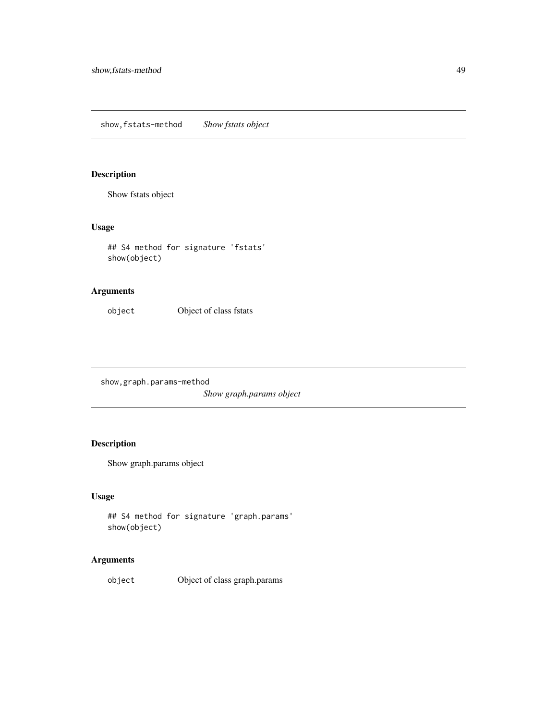<span id="page-48-0"></span>show,fstats-method *Show fstats object*

# Description

Show fstats object

# Usage

## S4 method for signature 'fstats' show(object)

# Arguments

object Object of class fstats

show,graph.params-method

*Show graph.params object*

# Description

Show graph.params object

### Usage

```
## S4 method for signature 'graph.params'
show(object)
```
# Arguments

object Object of class graph.params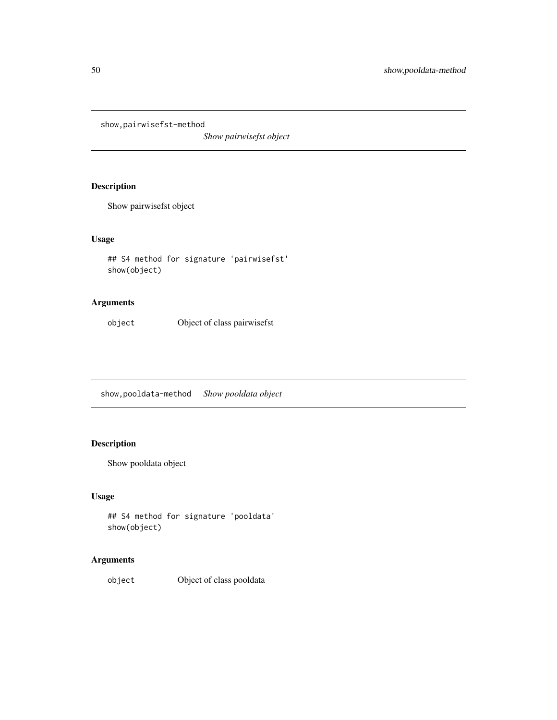<span id="page-49-0"></span>show,pairwisefst-method

*Show pairwisefst object*

# Description

Show pairwisefst object

# Usage

## S4 method for signature 'pairwisefst' show(object)

# Arguments

object Object of class pairwisefst

show,pooldata-method *Show pooldata object*

# Description

Show pooldata object

# Usage

```
## S4 method for signature 'pooldata'
show(object)
```
# Arguments

object Object of class pooldata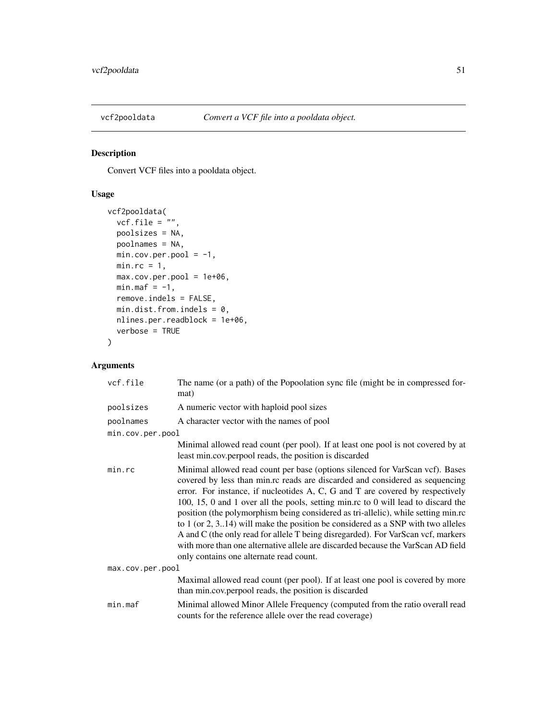<span id="page-50-1"></span><span id="page-50-0"></span>

Convert VCF files into a pooldata object.

# Usage

```
vcf2pooldata(
 vcf.file = ",
 poolsizes = NA,
 poolnames = NA,
 min.cov.per.pool = -1,
 min.rc = 1,
 max.cov.per.pool = 1e+06,
 min.max = -1,remove.indels = FALSE,
 min.dist.from.indels = 0,
 nlines.per.readblock = 1e+06,
 verbose = TRUE
)
```
# Arguments

| vcf.file         | The name (or a path) of the Popoolation sync file (might be in compressed for-<br>mat)                                                                                                                                                                                                                                                                                                                                                                                                                                                                                                                                                                                                                                                 |  |  |  |
|------------------|----------------------------------------------------------------------------------------------------------------------------------------------------------------------------------------------------------------------------------------------------------------------------------------------------------------------------------------------------------------------------------------------------------------------------------------------------------------------------------------------------------------------------------------------------------------------------------------------------------------------------------------------------------------------------------------------------------------------------------------|--|--|--|
| poolsizes        | A numeric vector with haploid pool sizes                                                                                                                                                                                                                                                                                                                                                                                                                                                                                                                                                                                                                                                                                               |  |  |  |
| poolnames        | A character vector with the names of pool                                                                                                                                                                                                                                                                                                                                                                                                                                                                                                                                                                                                                                                                                              |  |  |  |
| min.cov.per.pool |                                                                                                                                                                                                                                                                                                                                                                                                                                                                                                                                                                                                                                                                                                                                        |  |  |  |
|                  | Minimal allowed read count (per pool). If at least one pool is not covered by at<br>least min.cov.perpool reads, the position is discarded                                                                                                                                                                                                                                                                                                                                                                                                                                                                                                                                                                                             |  |  |  |
| min, rc          | Minimal allowed read count per base (options silenced for VarScan vcf). Bases<br>covered by less than min.rc reads are discarded and considered as sequencing<br>error. For instance, if nucleotides A, C, G and T are covered by respectively<br>100, 15, 0 and 1 over all the pools, setting min.rc to 0 will lead to discard the<br>position (the polymorphism being considered as tri-allelic), while setting min.rc<br>to $1$ (or $2$ , $314$ ) will make the position be considered as a SNP with two alleles<br>A and C (the only read for allele T being disregarded). For VarScan vcf, markers<br>with more than one alternative allele are discarded because the VarScan AD field<br>only contains one alternate read count. |  |  |  |
| max.cov.per.pool |                                                                                                                                                                                                                                                                                                                                                                                                                                                                                                                                                                                                                                                                                                                                        |  |  |  |
|                  | Maximal allowed read count (per pool). If at least one pool is covered by more<br>than min.cov.perpool reads, the position is discarded                                                                                                                                                                                                                                                                                                                                                                                                                                                                                                                                                                                                |  |  |  |
| min.max          | Minimal allowed Minor Allele Frequency (computed from the ratio overall read<br>counts for the reference allele over the read coverage)                                                                                                                                                                                                                                                                                                                                                                                                                                                                                                                                                                                                |  |  |  |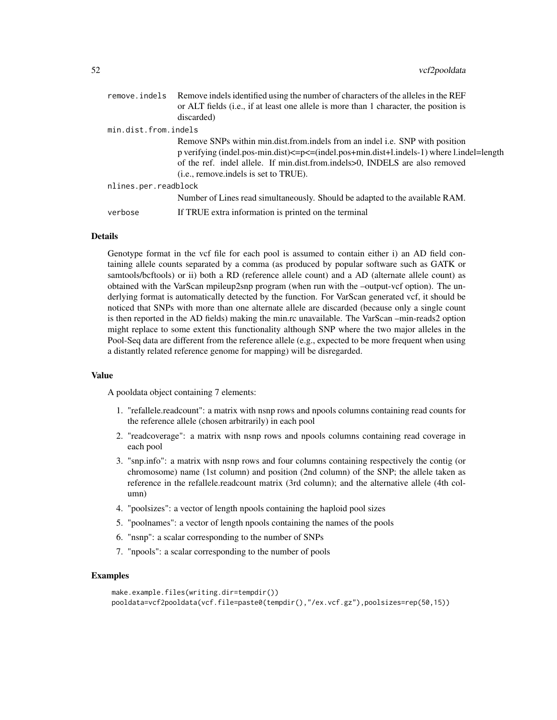| or ALT fields (i.e., if at least one allele is more than 1 character, the position is<br>discarded)                                                                                                                                                                                                         |  |
|-------------------------------------------------------------------------------------------------------------------------------------------------------------------------------------------------------------------------------------------------------------------------------------------------------------|--|
|                                                                                                                                                                                                                                                                                                             |  |
| min.dist.from.indels                                                                                                                                                                                                                                                                                        |  |
| Remove SNPs within min.dist.from.indels from an indel i.e. SNP with position<br>p verifying (indel.pos-min.dist)<=p<=(indel.pos+min.dist+l.indels-1) where l.indel=length<br>of the ref. indel allele. If min.dist.from.indels>0, INDELS are also removed<br>( <i>i.e.</i> , remove.indels is set to TRUE). |  |
| nlines.per.readblock                                                                                                                                                                                                                                                                                        |  |
| Number of Lines read simultaneously. Should be adapted to the available RAM.                                                                                                                                                                                                                                |  |
| If TRUE extra information is printed on the terminal<br>verbose                                                                                                                                                                                                                                             |  |

# **Details**

Genotype format in the vcf file for each pool is assumed to contain either i) an AD field containing allele counts separated by a comma (as produced by popular software such as GATK or samtools/bcftools) or ii) both a RD (reference allele count) and a AD (alternate allele count) as obtained with the VarScan mpileup2snp program (when run with the –output-vcf option). The underlying format is automatically detected by the function. For VarScan generated vcf, it should be noticed that SNPs with more than one alternate allele are discarded (because only a single count is then reported in the AD fields) making the min.rc unavailable. The VarScan –min-reads2 option might replace to some extent this functionality although SNP where the two major alleles in the Pool-Seq data are different from the reference allele (e.g., expected to be more frequent when using a distantly related reference genome for mapping) will be disregarded.

#### Value

A pooldata object containing 7 elements:

- 1. "refallele.readcount": a matrix with nsnp rows and npools columns containing read counts for the reference allele (chosen arbitrarily) in each pool
- 2. "readcoverage": a matrix with nsnp rows and npools columns containing read coverage in each pool
- 3. "snp.info": a matrix with nsnp rows and four columns containing respectively the contig (or chromosome) name (1st column) and position (2nd column) of the SNP; the allele taken as reference in the refallele.readcount matrix (3rd column); and the alternative allele (4th column)
- 4. "poolsizes": a vector of length npools containing the haploid pool sizes
- 5. "poolnames": a vector of length npools containing the names of the pools
- 6. "nsnp": a scalar corresponding to the number of SNPs
- 7. "npools": a scalar corresponding to the number of pools

#### Examples

```
make.example.files(writing.dir=tempdir())
pooldata=vcf2pooldata(vcf.file=paste0(tempdir(),"/ex.vcf.gz"),poolsizes=rep(50,15))
```